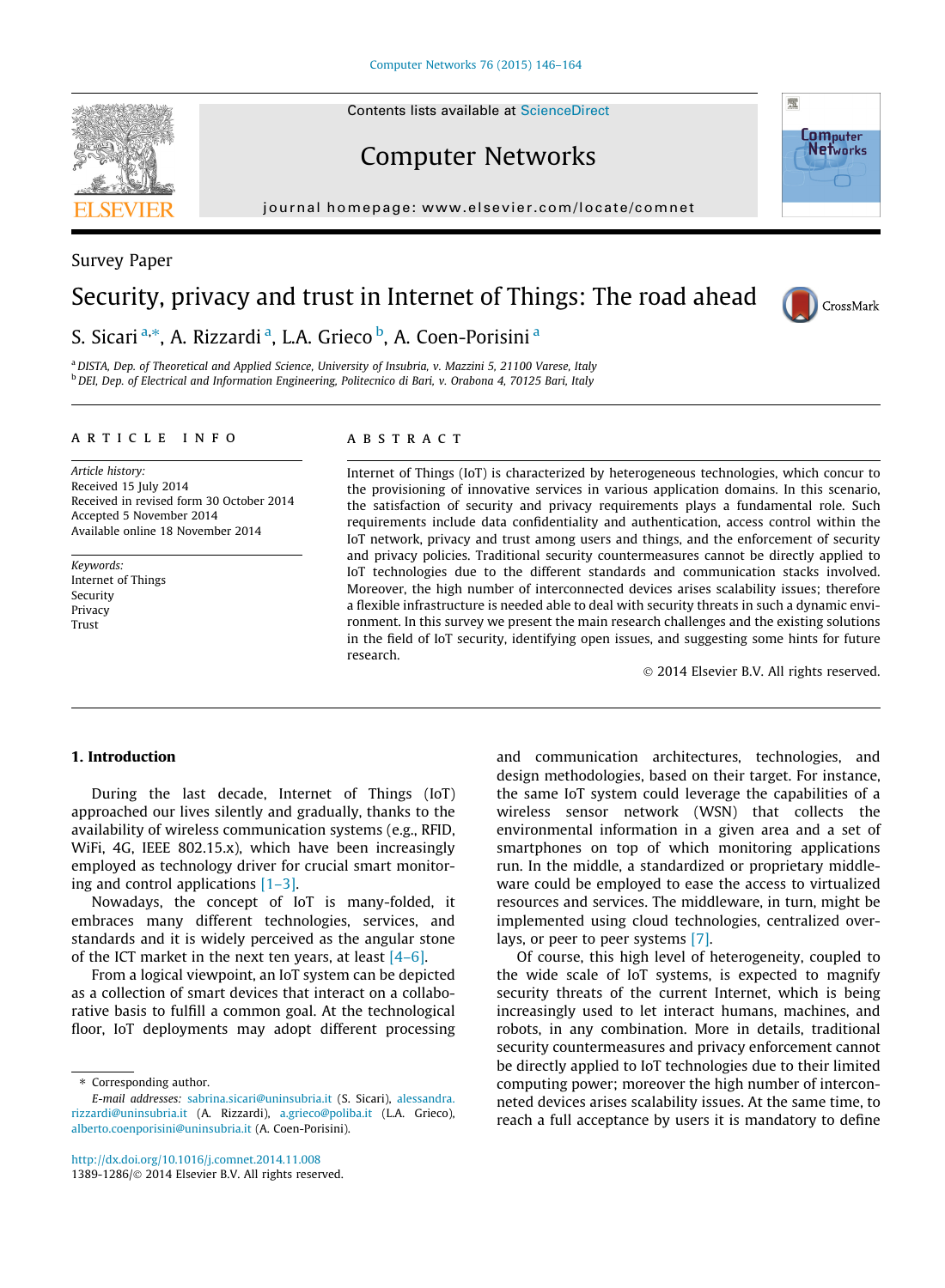Contents lists available at [ScienceDirect](http://www.sciencedirect.com/science/journal/13891286)

## Computer Networks

journal homepage: [www.elsevier.com/locate/comnet](http://www.elsevier.com/locate/comnet)

# Survey Paper Security, privacy and trust in Internet of Things: The road ahead



Com<sub>puter</sub> **Networks** 

骤

### S. Sicari <sup>a,\*</sup>, A. Rizzardi <sup>a</sup>, L.A. Grieco <sup>b</sup>, A. Coen-Porisini <sup>a</sup>

<sup>a</sup>DISTA, Dep. of Theoretical and Applied Science, University of Insubria, v. Mazzini 5, 21100 Varese, Italy <sup>b</sup> DEI, Dep. of Electrical and Information Engineering, Politecnico di Bari, v. Orabona 4, 70125 Bari, Italy

#### article info

Article history: Received 15 July 2014 Received in revised form 30 October 2014 Accepted 5 November 2014 Available online 18 November 2014

Keywords: Internet of Things Security Privacy Trust

#### **ABSTRACT**

Internet of Things (IoT) is characterized by heterogeneous technologies, which concur to the provisioning of innovative services in various application domains. In this scenario, the satisfaction of security and privacy requirements plays a fundamental role. Such requirements include data confidentiality and authentication, access control within the IoT network, privacy and trust among users and things, and the enforcement of security and privacy policies. Traditional security countermeasures cannot be directly applied to IoT technologies due to the different standards and communication stacks involved. Moreover, the high number of interconnected devices arises scalability issues; therefore a flexible infrastructure is needed able to deal with security threats in such a dynamic environment. In this survey we present the main research challenges and the existing solutions in the field of IoT security, identifying open issues, and suggesting some hints for future research.

© 2014 Elsevier B.V. All rights reserved.

#### 1. Introduction

During the last decade, Internet of Things (IoT) approached our lives silently and gradually, thanks to the availability of wireless communication systems (e.g., RFID, WiFi, 4G, IEEE 802.15.x), which have been increasingly employed as technology driver for crucial smart monitoring and control applications [\[1–3\].](#page-15-0)

Nowadays, the concept of IoT is many-folded, it embraces many different technologies, services, and standards and it is widely perceived as the angular stone of the ICT market in the next ten years, at least [\[4–6\].](#page-15-0)

From a logical viewpoint, an IoT system can be depicted as a collection of smart devices that interact on a collaborative basis to fulfill a common goal. At the technological floor, IoT deployments may adopt different processing

<http://dx.doi.org/10.1016/j.comnet.2014.11.008> 1389-1286/© 2014 Elsevier B.V. All rights reserved.

and communication architectures, technologies, and design methodologies, based on their target. For instance, the same IoT system could leverage the capabilities of a wireless sensor network (WSN) that collects the environmental information in a given area and a set of smartphones on top of which monitoring applications run. In the middle, a standardized or proprietary middleware could be employed to ease the access to virtualized resources and services. The middleware, in turn, might be implemented using cloud technologies, centralized overlays, or peer to peer systems [\[7\].](#page-15-0)

Of course, this high level of heterogeneity, coupled to the wide scale of IoT systems, is expected to magnify security threats of the current Internet, which is being increasingly used to let interact humans, machines, and robots, in any combination. More in details, traditional security countermeasures and privacy enforcement cannot be directly applied to IoT technologies due to their limited computing power; moreover the high number of interconneted devices arises scalability issues. At the same time, to reach a full acceptance by users it is mandatory to define



<sup>⇑</sup> Corresponding author.

E-mail addresses: [sabrina.sicari@uninsubria.it](mailto:sabrina.sicari@uninsubria.it) (S. Sicari), [alessandra.](mailto:alessandra.rizzardi@uninsubria.it) [rizzardi@uninsubria.it](mailto:alessandra.rizzardi@uninsubria.it) (A. Rizzardi), [a.grieco@poliba.it](mailto:a.grieco@poliba.it) (L.A. Grieco), [alberto.coenporisini@uninsubria.it](mailto:alberto.coenporisini@uninsubria.it) (A. Coen-Porisini).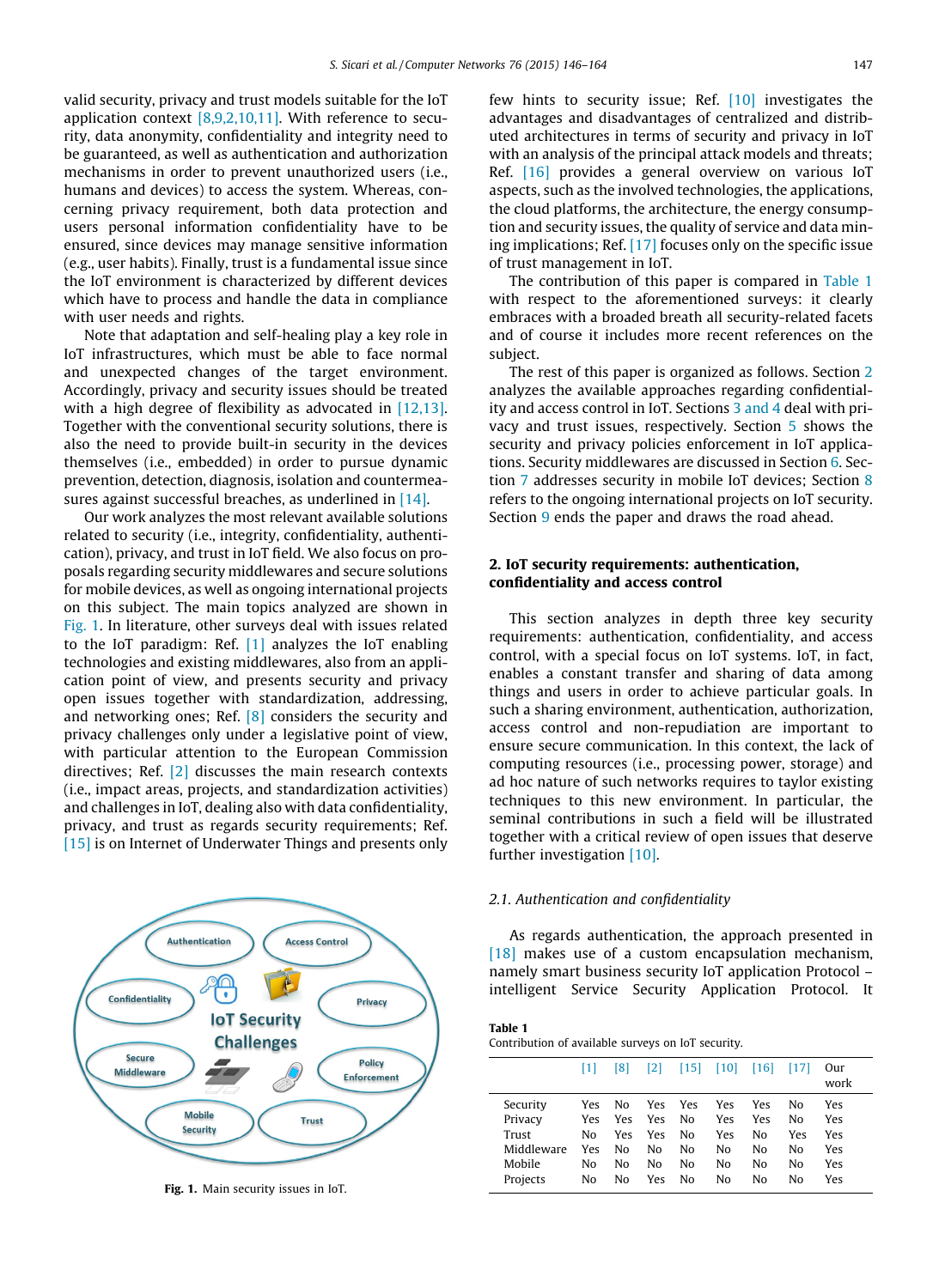valid security, privacy and trust models suitable for the IoT application context  $[8,9,2,10,11]$ . With reference to security, data anonymity, confidentiality and integrity need to be guaranteed, as well as authentication and authorization mechanisms in order to prevent unauthorized users (i.e., humans and devices) to access the system. Whereas, concerning privacy requirement, both data protection and users personal information confidentiality have to be ensured, since devices may manage sensitive information (e.g., user habits). Finally, trust is a fundamental issue since the IoT environment is characterized by different devices which have to process and handle the data in compliance with user needs and rights.

Note that adaptation and self-healing play a key role in IoT infrastructures, which must be able to face normal and unexpected changes of the target environment. Accordingly, privacy and security issues should be treated with a high degree of flexibility as advocated in [\[12,13\]](#page-15-0). Together with the conventional security solutions, there is also the need to provide built-in security in the devices themselves (i.e., embedded) in order to pursue dynamic prevention, detection, diagnosis, isolation and countermeasures against successful breaches, as underlined in [\[14\].](#page-15-0)

Our work analyzes the most relevant available solutions related to security (i.e., integrity, confidentiality, authentication), privacy, and trust in IoT field. We also focus on proposals regarding security middlewares and secure solutions for mobile devices, as well as ongoing international projects on this subject. The main topics analyzed are shown in Fig. 1. In literature, other surveys deal with issues related to the IoT paradigm: Ref. [\[1\]](#page-15-0) analyzes the IoT enabling technologies and existing middlewares, also from an application point of view, and presents security and privacy open issues together with standardization, addressing, and networking ones; Ref. [\[8\]](#page-15-0) considers the security and privacy challenges only under a legislative point of view, with particular attention to the European Commission directives; Ref. [\[2\]](#page-15-0) discusses the main research contexts (i.e., impact areas, projects, and standardization activities) and challenges in IoT, dealing also with data confidentiality, privacy, and trust as regards security requirements; Ref. [\[15\]](#page-15-0) is on Internet of Underwater Things and presents only



Fig. 1. Main security issues in IoT.

few hints to security issue; Ref. [\[10\]](#page-15-0) investigates the advantages and disadvantages of centralized and distributed architectures in terms of security and privacy in IoT with an analysis of the principal attack models and threats; Ref. [\[16\]](#page-15-0) provides a general overview on various IoT aspects, such as the involved technologies, the applications, the cloud platforms, the architecture, the energy consumption and security issues, the quality of service and data mining implications; Ref. [\[17\]](#page-15-0) focuses only on the specific issue of trust management in IoT.

The contribution of this paper is compared in Table 1 with respect to the aforementioned surveys: it clearly embraces with a broaded breath all security-related facets and of course it includes more recent references on the subject.

The rest of this paper is organized as follows. Section 2 analyzes the available approaches regarding confidentiality and access control in IoT. Sections [3 and 4](#page-5-0) deal with privacy and trust issues, respectively. Section [5](#page-8-0) shows the security and privacy policies enforcement in IoT applications. Security middlewares are discussed in Section [6](#page-10-0). Section [7](#page-12-0) addresses security in mobile IoT devices; Section [8](#page-13-0) refers to the ongoing international projects on IoT security. Section [9](#page-14-0) ends the paper and draws the road ahead.

#### 2. IoT security requirements: authentication, confidentiality and access control

This section analyzes in depth three key security requirements: authentication, confidentiality, and access control, with a special focus on IoT systems. IoT, in fact, enables a constant transfer and sharing of data among things and users in order to achieve particular goals. In such a sharing environment, authentication, authorization, access control and non-repudiation are important to ensure secure communication. In this context, the lack of computing resources (i.e., processing power, storage) and ad hoc nature of such networks requires to taylor existing techniques to this new environment. In particular, the seminal contributions in such a field will be illustrated together with a critical review of open issues that deserve further investigation [\[10\]](#page-15-0).

#### 2.1. Authentication and confidentiality

As regards authentication, the approach presented in [\[18\]](#page-15-0) makes use of a custom encapsulation mechanism, namely smart business security IoT application Protocol – intelligent Service Security Application Protocol. It

| Table 1                                            |  |  |
|----------------------------------------------------|--|--|
| Contribution of available surveys on IoT security. |  |  |

|            | [1] | [8] |     | $[2]$ $[15]$ $[10]$ |     | [16] | [17] | Our<br>work |
|------------|-----|-----|-----|---------------------|-----|------|------|-------------|
| Security   | Yes | No. | Yes | <b>Yes</b>          | Yes | Yes  | No   | Yes         |
| Privacy    | Yes | Yes | Yes | No                  | Yes | Yes  | No   | Yes         |
| Trust      | No. | Yes | Yes | No                  | Yes | No   | Yes  | Yes         |
| Middleware | Yes | No  | No  | No                  | No  | No   | No   | Yes         |
| Mobile     | No  | No  | No  | No                  | No  | No   | No   | Yes         |
| Projects   | No  | No  | Yes | Nο                  | No  | No   | No   | Yes         |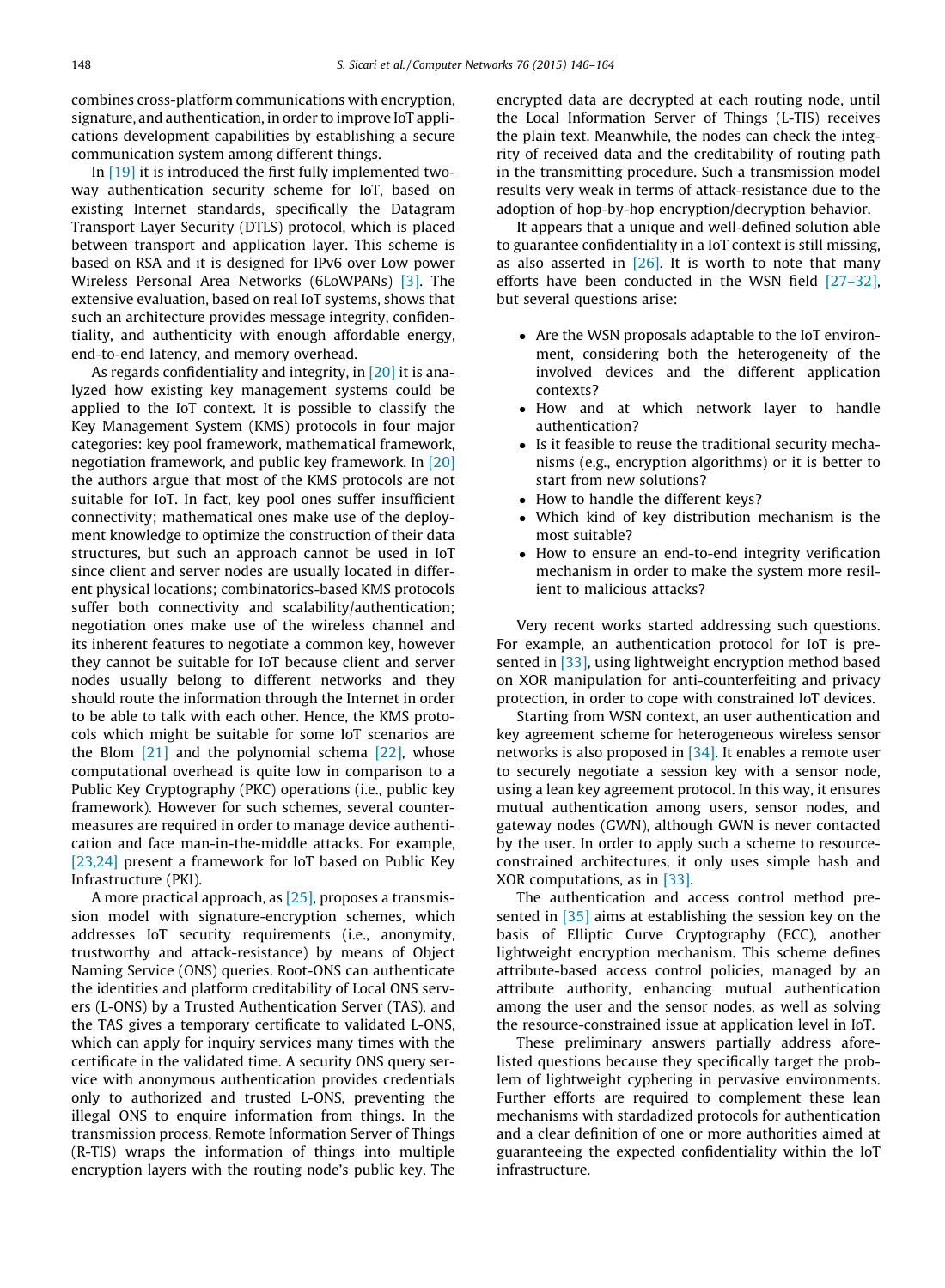combines cross-platform communications with encryption, signature, and authentication, in order to improve IoT applications development capabilities by establishing a secure communication system among different things.

In [\[19\]](#page-15-0) it is introduced the first fully implemented twoway authentication security scheme for IoT, based on existing Internet standards, specifically the Datagram Transport Layer Security (DTLS) protocol, which is placed between transport and application layer. This scheme is based on RSA and it is designed for IPv6 over Low power Wireless Personal Area Networks (6LoWPANs) [\[3\].](#page-15-0) The extensive evaluation, based on real IoT systems, shows that such an architecture provides message integrity, confidentiality, and authenticity with enough affordable energy, end-to-end latency, and memory overhead.

As regards confidentiality and integrity, in [\[20\]](#page-15-0) it is analyzed how existing key management systems could be applied to the IoT context. It is possible to classify the Key Management System (KMS) protocols in four major categories: key pool framework, mathematical framework, negotiation framework, and public key framework. In [\[20\]](#page-15-0) the authors argue that most of the KMS protocols are not suitable for IoT. In fact, key pool ones suffer insufficient connectivity; mathematical ones make use of the deployment knowledge to optimize the construction of their data structures, but such an approach cannot be used in IoT since client and server nodes are usually located in different physical locations; combinatorics-based KMS protocols suffer both connectivity and scalability/authentication; negotiation ones make use of the wireless channel and its inherent features to negotiate a common key, however they cannot be suitable for IoT because client and server nodes usually belong to different networks and they should route the information through the Internet in order to be able to talk with each other. Hence, the KMS protocols which might be suitable for some IoT scenarios are the Blom  $[21]$  and the polynomial schema  $[22]$ , whose computational overhead is quite low in comparison to a Public Key Cryptography (PKC) operations (i.e., public key framework). However for such schemes, several countermeasures are required in order to manage device authentication and face man-in-the-middle attacks. For example, [\[23,24\]](#page-15-0) present a framework for IoT based on Public Key Infrastructure (PKI).

A more practical approach, as [\[25\]](#page-15-0), proposes a transmission model with signature-encryption schemes, which addresses IoT security requirements (i.e., anonymity, trustworthy and attack-resistance) by means of Object Naming Service (ONS) queries. Root-ONS can authenticate the identities and platform creditability of Local ONS servers (L-ONS) by a Trusted Authentication Server (TAS), and the TAS gives a temporary certificate to validated L-ONS, which can apply for inquiry services many times with the certificate in the validated time. A security ONS query service with anonymous authentication provides credentials only to authorized and trusted L-ONS, preventing the illegal ONS to enquire information from things. In the transmission process, Remote Information Server of Things (R-TIS) wraps the information of things into multiple encryption layers with the routing node's public key. The

encrypted data are decrypted at each routing node, until the Local Information Server of Things (L-TIS) receives the plain text. Meanwhile, the nodes can check the integrity of received data and the creditability of routing path in the transmitting procedure. Such a transmission model results very weak in terms of attack-resistance due to the adoption of hop-by-hop encryption/decryption behavior.

It appears that a unique and well-defined solution able to guarantee confidentiality in a IoT context is still missing, as also asserted in  $[26]$ . It is worth to note that many efforts have been conducted in the WSN field [27-32], but several questions arise:

- Are the WSN proposals adaptable to the IoT environment, considering both the heterogeneity of the involved devices and the different application contexts?
- How and at which network layer to handle authentication?
- Is it feasible to reuse the traditional security mechanisms (e.g., encryption algorithms) or it is better to start from new solutions?
- How to handle the different keys?
- Which kind of key distribution mechanism is the most suitable?
- How to ensure an end-to-end integrity verification mechanism in order to make the system more resilient to malicious attacks?

Very recent works started addressing such questions. For example, an authentication protocol for IoT is pre-sented in [\[33\],](#page-15-0) using lightweight encryption method based on XOR manipulation for anti-counterfeiting and privacy protection, in order to cope with constrained IoT devices.

Starting from WSN context, an user authentication and key agreement scheme for heterogeneous wireless sensor networks is also proposed in  $[34]$ . It enables a remote user to securely negotiate a session key with a sensor node, using a lean key agreement protocol. In this way, it ensures mutual authentication among users, sensor nodes, and gateway nodes (GWN), although GWN is never contacted by the user. In order to apply such a scheme to resourceconstrained architectures, it only uses simple hash and XOR computations, as in [\[33\].](#page-15-0)

The authentication and access control method pre-sented in [\[35\]](#page-15-0) aims at establishing the session key on the basis of Elliptic Curve Cryptography (ECC), another lightweight encryption mechanism. This scheme defines attribute-based access control policies, managed by an attribute authority, enhancing mutual authentication among the user and the sensor nodes, as well as solving the resource-constrained issue at application level in IoT.

These preliminary answers partially address aforelisted questions because they specifically target the problem of lightweight cyphering in pervasive environments. Further efforts are required to complement these lean mechanisms with stardadized protocols for authentication and a clear definition of one or more authorities aimed at guaranteeing the expected confidentiality within the IoT infrastructure.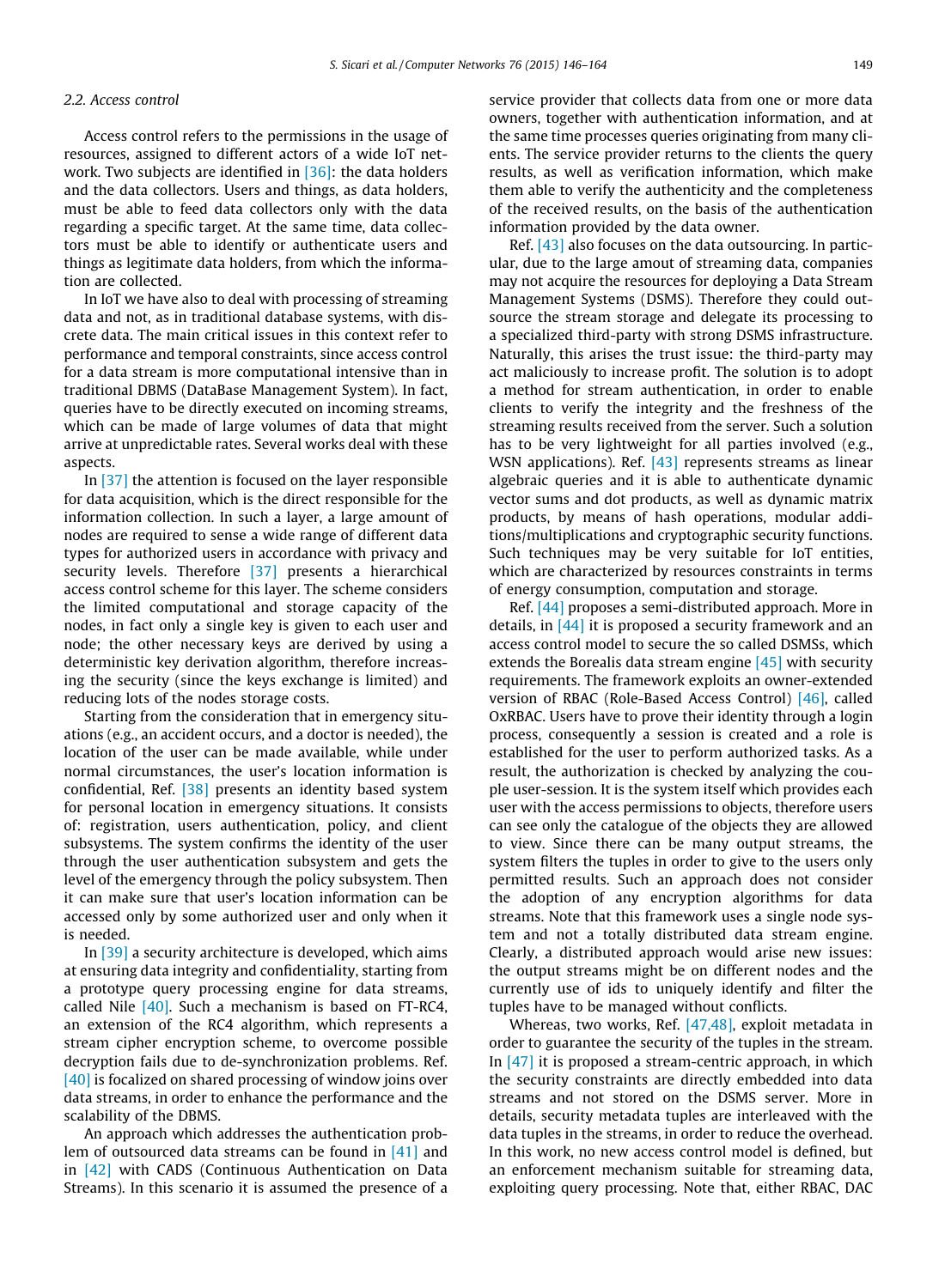#### S. Sicari et al. / Computer Networks 76 (2015) 146–164 149

#### 2.2. Access control

Access control refers to the permissions in the usage of resources, assigned to different actors of a wide IoT network. Two subjects are identified in [\[36\]:](#page-15-0) the data holders and the data collectors. Users and things, as data holders, must be able to feed data collectors only with the data regarding a specific target. At the same time, data collectors must be able to identify or authenticate users and things as legitimate data holders, from which the information are collected.

In IoT we have also to deal with processing of streaming data and not, as in traditional database systems, with discrete data. The main critical issues in this context refer to performance and temporal constraints, since access control for a data stream is more computational intensive than in traditional DBMS (DataBase Management System). In fact, queries have to be directly executed on incoming streams, which can be made of large volumes of data that might arrive at unpredictable rates. Several works deal with these aspects.

In [\[37\]](#page-15-0) the attention is focused on the layer responsible for data acquisition, which is the direct responsible for the information collection. In such a layer, a large amount of nodes are required to sense a wide range of different data types for authorized users in accordance with privacy and security levels. Therefore [\[37\]](#page-15-0) presents a hierarchical access control scheme for this layer. The scheme considers the limited computational and storage capacity of the nodes, in fact only a single key is given to each user and node; the other necessary keys are derived by using a deterministic key derivation algorithm, therefore increasing the security (since the keys exchange is limited) and reducing lots of the nodes storage costs.

Starting from the consideration that in emergency situations (e.g., an accident occurs, and a doctor is needed), the location of the user can be made available, while under normal circumstances, the user's location information is confidential, Ref. [\[38\]](#page-15-0) presents an identity based system for personal location in emergency situations. It consists of: registration, users authentication, policy, and client subsystems. The system confirms the identity of the user through the user authentication subsystem and gets the level of the emergency through the policy subsystem. Then it can make sure that user's location information can be accessed only by some authorized user and only when it is needed.

In [\[39\]](#page-15-0) a security architecture is developed, which aims at ensuring data integrity and confidentiality, starting from a prototype query processing engine for data streams, called Nile  $[40]$ . Such a mechanism is based on FT-RC4, an extension of the RC4 algorithm, which represents a stream cipher encryption scheme, to overcome possible decryption fails due to de-synchronization problems. Ref. [\[40\]](#page-15-0) is focalized on shared processing of window joins over data streams, in order to enhance the performance and the scalability of the DBMS.

An approach which addresses the authentication problem of outsourced data streams can be found in [\[41\]](#page-15-0) and in [\[42\]](#page-15-0) with CADS (Continuous Authentication on Data Streams). In this scenario it is assumed the presence of a service provider that collects data from one or more data owners, together with authentication information, and at the same time processes queries originating from many clients. The service provider returns to the clients the query results, as well as verification information, which make them able to verify the authenticity and the completeness of the received results, on the basis of the authentication information provided by the data owner.

Ref. [\[43\]](#page-15-0) also focuses on the data outsourcing. In particular, due to the large amout of streaming data, companies may not acquire the resources for deploying a Data Stream Management Systems (DSMS). Therefore they could outsource the stream storage and delegate its processing to a specialized third-party with strong DSMS infrastructure. Naturally, this arises the trust issue: the third-party may act maliciously to increase profit. The solution is to adopt a method for stream authentication, in order to enable clients to verify the integrity and the freshness of the streaming results received from the server. Such a solution has to be very lightweight for all parties involved (e.g., WSN applications). Ref. [\[43\]](#page-15-0) represents streams as linear algebraic queries and it is able to authenticate dynamic vector sums and dot products, as well as dynamic matrix products, by means of hash operations, modular additions/multiplications and cryptographic security functions. Such techniques may be very suitable for IoT entities, which are characterized by resources constraints in terms of energy consumption, computation and storage.

Ref. [\[44\]](#page-15-0) proposes a semi-distributed approach. More in details, in  $[44]$  it is proposed a security framework and an access control model to secure the so called DSMSs, which extends the Borealis data stream engine [\[45\]](#page-15-0) with security requirements. The framework exploits an owner-extended version of RBAC (Role-Based Access Control) [\[46\]](#page-15-0), called OxRBAC. Users have to prove their identity through a login process, consequently a session is created and a role is established for the user to perform authorized tasks. As a result, the authorization is checked by analyzing the couple user-session. It is the system itself which provides each user with the access permissions to objects, therefore users can see only the catalogue of the objects they are allowed to view. Since there can be many output streams, the system filters the tuples in order to give to the users only permitted results. Such an approach does not consider the adoption of any encryption algorithms for data streams. Note that this framework uses a single node system and not a totally distributed data stream engine. Clearly, a distributed approach would arise new issues: the output streams might be on different nodes and the currently use of ids to uniquely identify and filter the tuples have to be managed without conflicts.

Whereas, two works, Ref. [\[47,48\]](#page-15-0), exploit metadata in order to guarantee the security of the tuples in the stream. In [\[47\]](#page-15-0) it is proposed a stream-centric approach, in which the security constraints are directly embedded into data streams and not stored on the DSMS server. More in details, security metadata tuples are interleaved with the data tuples in the streams, in order to reduce the overhead. In this work, no new access control model is defined, but an enforcement mechanism suitable for streaming data, exploiting query processing. Note that, either RBAC, DAC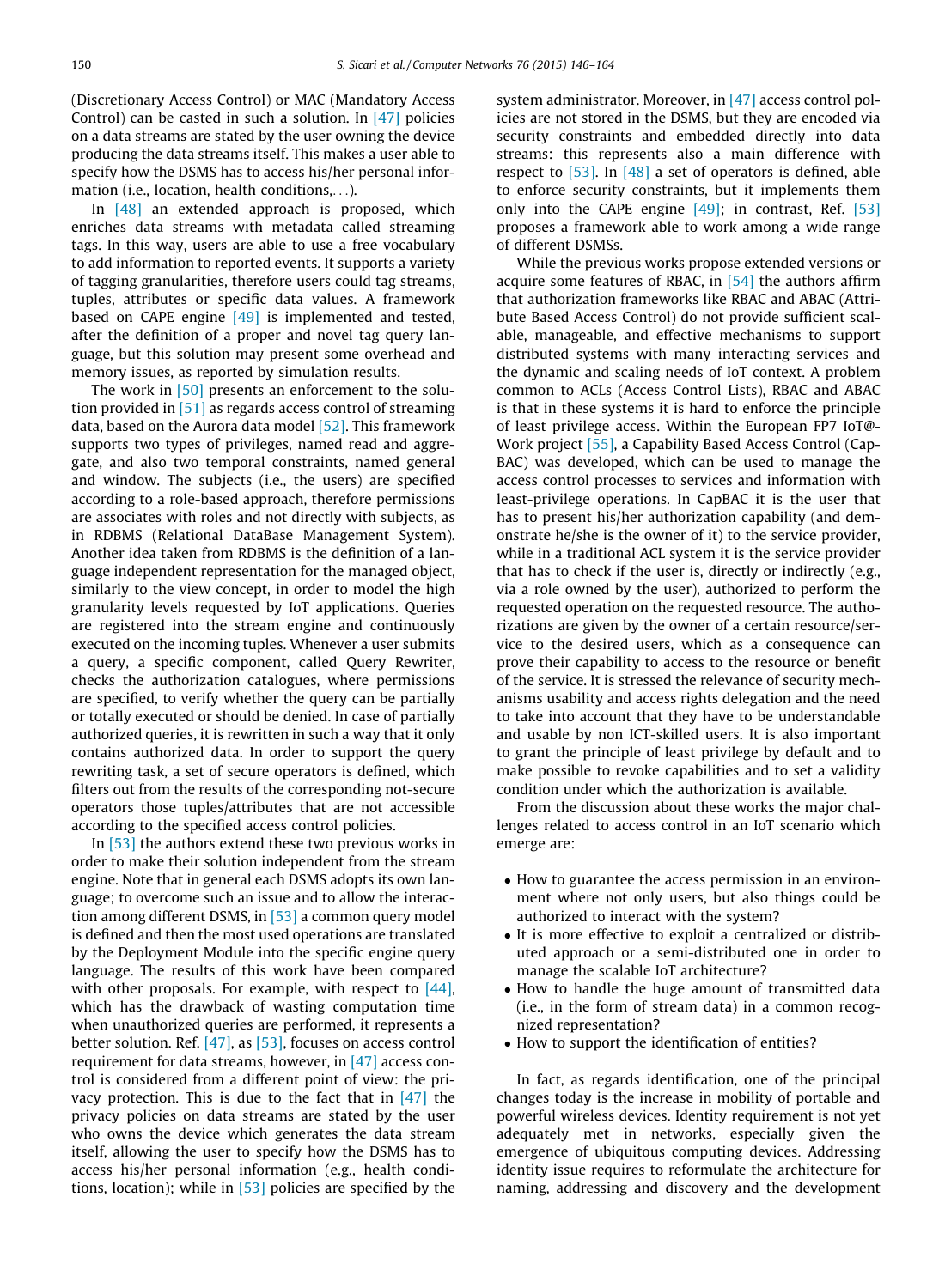(Discretionary Access Control) or MAC (Mandatory Access Control) can be casted in such a solution. In  $[47]$  policies on a data streams are stated by the user owning the device producing the data streams itself. This makes a user able to specify how the DSMS has to access his/her personal information (i.e., location, health conditions,...).

In [\[48\]](#page-15-0) an extended approach is proposed, which enriches data streams with metadata called streaming tags. In this way, users are able to use a free vocabulary to add information to reported events. It supports a variety of tagging granularities, therefore users could tag streams, tuples, attributes or specific data values. A framework based on CAPE engine [\[49\]](#page-16-0) is implemented and tested, after the definition of a proper and novel tag query language, but this solution may present some overhead and memory issues, as reported by simulation results.

The work in [\[50\]](#page-16-0) presents an enforcement to the solution provided in [\[51\]](#page-16-0) as regards access control of streaming data, based on the Aurora data model  $[52]$ . This framework supports two types of privileges, named read and aggregate, and also two temporal constraints, named general and window. The subjects (i.e., the users) are specified according to a role-based approach, therefore permissions are associates with roles and not directly with subjects, as in RDBMS (Relational DataBase Management System). Another idea taken from RDBMS is the definition of a language independent representation for the managed object, similarly to the view concept, in order to model the high granularity levels requested by IoT applications. Queries are registered into the stream engine and continuously executed on the incoming tuples. Whenever a user submits a query, a specific component, called Query Rewriter, checks the authorization catalogues, where permissions are specified, to verify whether the query can be partially or totally executed or should be denied. In case of partially authorized queries, it is rewritten in such a way that it only contains authorized data. In order to support the query rewriting task, a set of secure operators is defined, which filters out from the results of the corresponding not-secure operators those tuples/attributes that are not accessible according to the specified access control policies.

In [\[53\]](#page-16-0) the authors extend these two previous works in order to make their solution independent from the stream engine. Note that in general each DSMS adopts its own language; to overcome such an issue and to allow the interaction among different DSMS, in [\[53\]](#page-16-0) a common query model is defined and then the most used operations are translated by the Deployment Module into the specific engine query language. The results of this work have been compared with other proposals. For example, with respect to  $[44]$ , which has the drawback of wasting computation time when unauthorized queries are performed, it represents a better solution. Ref.  $[47]$ , as  $[53]$ , focuses on access control requirement for data streams, however, in [\[47\]](#page-15-0) access control is considered from a different point of view: the privacy protection. This is due to the fact that in  $[47]$  the privacy policies on data streams are stated by the user who owns the device which generates the data stream itself, allowing the user to specify how the DSMS has to access his/her personal information (e.g., health conditions, location); while in [\[53\]](#page-16-0) policies are specified by the

system administrator. Moreover, in [\[47\]](#page-15-0) access control policies are not stored in the DSMS, but they are encoded via security constraints and embedded directly into data streams: this represents also a main difference with respect to  $[53]$ . In  $[48]$  a set of operators is defined, able to enforce security constraints, but it implements them only into the CAPE engine  $[49]$ ; in contrast, Ref.  $[53]$ proposes a framework able to work among a wide range of different DSMSs.

While the previous works propose extended versions or acquire some features of RBAC, in [\[54\]](#page-16-0) the authors affirm that authorization frameworks like RBAC and ABAC (Attribute Based Access Control) do not provide sufficient scalable, manageable, and effective mechanisms to support distributed systems with many interacting services and the dynamic and scaling needs of IoT context. A problem common to ACLs (Access Control Lists), RBAC and ABAC is that in these systems it is hard to enforce the principle of least privilege access. Within the European FP7 IoT@- Work project [\[55\],](#page-16-0) a Capability Based Access Control (Cap-BAC) was developed, which can be used to manage the access control processes to services and information with least-privilege operations. In CapBAC it is the user that has to present his/her authorization capability (and demonstrate he/she is the owner of it) to the service provider, while in a traditional ACL system it is the service provider that has to check if the user is, directly or indirectly (e.g., via a role owned by the user), authorized to perform the requested operation on the requested resource. The authorizations are given by the owner of a certain resource/service to the desired users, which as a consequence can prove their capability to access to the resource or benefit of the service. It is stressed the relevance of security mechanisms usability and access rights delegation and the need to take into account that they have to be understandable and usable by non ICT-skilled users. It is also important to grant the principle of least privilege by default and to make possible to revoke capabilities and to set a validity condition under which the authorization is available.

From the discussion about these works the major challenges related to access control in an IoT scenario which emerge are:

- How to guarantee the access permission in an environment where not only users, but also things could be authorized to interact with the system?
- It is more effective to exploit a centralized or distributed approach or a semi-distributed one in order to manage the scalable IoT architecture?
- How to handle the huge amount of transmitted data (i.e., in the form of stream data) in a common recognized representation?
- How to support the identification of entities?

In fact, as regards identification, one of the principal changes today is the increase in mobility of portable and powerful wireless devices. Identity requirement is not yet adequately met in networks, especially given the emergence of ubiquitous computing devices. Addressing identity issue requires to reformulate the architecture for naming, addressing and discovery and the development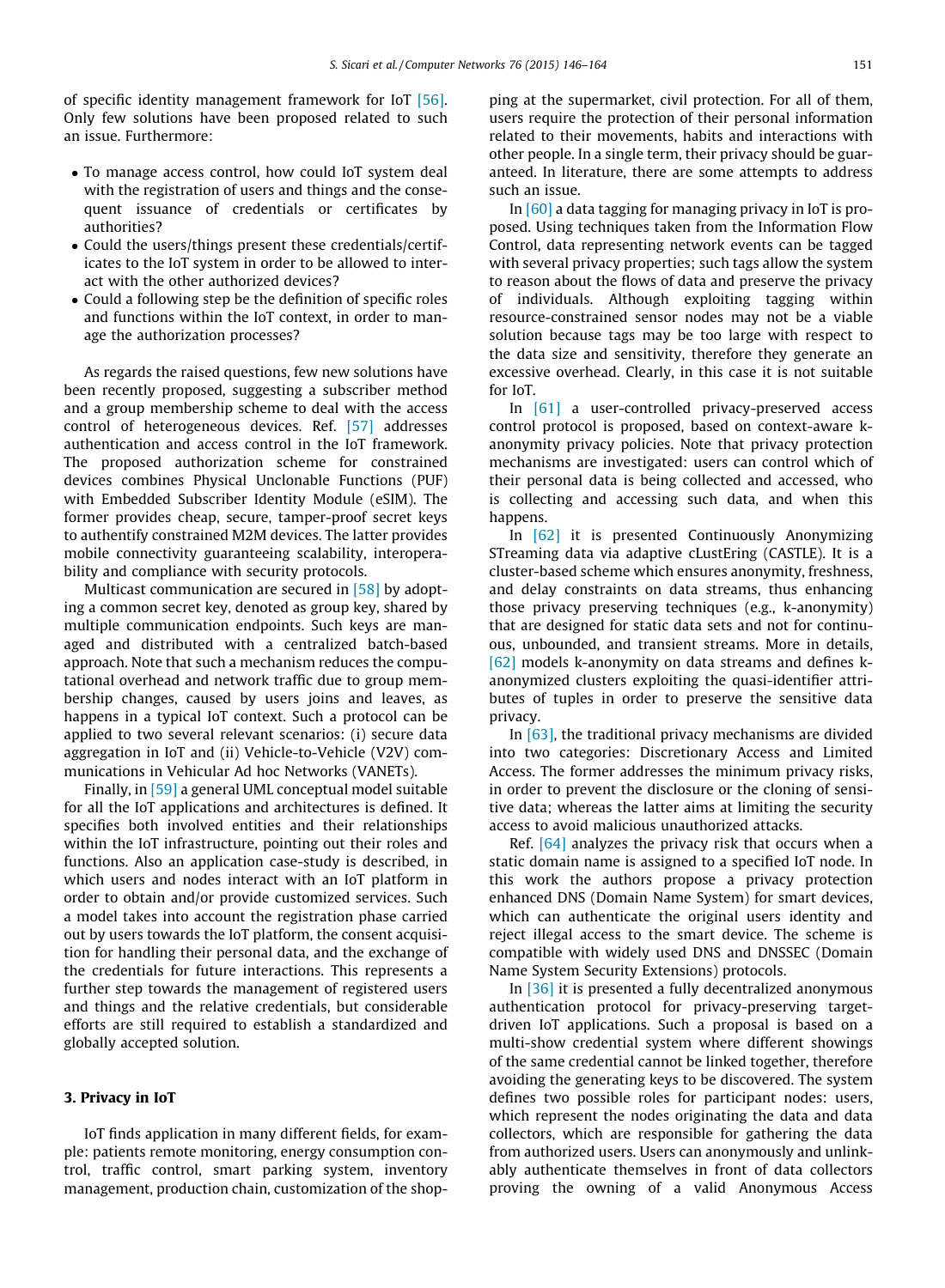<span id="page-5-0"></span>of specific identity management framework for IoT [\[56\]](#page-16-0). Only few solutions have been proposed related to such an issue. Furthermore:

- To manage access control, how could IoT system deal with the registration of users and things and the consequent issuance of credentials or certificates by authorities?
- Could the users/things present these credentials/certificates to the IoT system in order to be allowed to interact with the other authorized devices?
- Could a following step be the definition of specific roles and functions within the IoT context, in order to manage the authorization processes?

As regards the raised questions, few new solutions have been recently proposed, suggesting a subscriber method and a group membership scheme to deal with the access control of heterogeneous devices. Ref. [\[57\]](#page-16-0) addresses authentication and access control in the IoT framework. The proposed authorization scheme for constrained devices combines Physical Unclonable Functions (PUF) with Embedded Subscriber Identity Module (eSIM). The former provides cheap, secure, tamper-proof secret keys to authentify constrained M2M devices. The latter provides mobile connectivity guaranteeing scalability, interoperability and compliance with security protocols.

Multicast communication are secured in [\[58\]](#page-16-0) by adopting a common secret key, denoted as group key, shared by multiple communication endpoints. Such keys are managed and distributed with a centralized batch-based approach. Note that such a mechanism reduces the computational overhead and network traffic due to group membership changes, caused by users joins and leaves, as happens in a typical IoT context. Such a protocol can be applied to two several relevant scenarios: (i) secure data aggregation in IoT and (ii) Vehicle-to-Vehicle (V2V) communications in Vehicular Ad hoc Networks (VANETs).

Finally, in [\[59\]](#page-16-0) a general UML conceptual model suitable for all the IoT applications and architectures is defined. It specifies both involved entities and their relationships within the IoT infrastructure, pointing out their roles and functions. Also an application case-study is described, in which users and nodes interact with an IoT platform in order to obtain and/or provide customized services. Such a model takes into account the registration phase carried out by users towards the IoT platform, the consent acquisition for handling their personal data, and the exchange of the credentials for future interactions. This represents a further step towards the management of registered users and things and the relative credentials, but considerable efforts are still required to establish a standardized and globally accepted solution.

#### 3. Privacy in IoT

IoT finds application in many different fields, for example: patients remote monitoring, energy consumption control, traffic control, smart parking system, inventory management, production chain, customization of the shop-

ping at the supermarket, civil protection. For all of them, users require the protection of their personal information related to their movements, habits and interactions with other people. In a single term, their privacy should be guaranteed. In literature, there are some attempts to address such an issue.

In [\[60\]](#page-16-0) a data tagging for managing privacy in IoT is proposed. Using techniques taken from the Information Flow Control, data representing network events can be tagged with several privacy properties; such tags allow the system to reason about the flows of data and preserve the privacy of individuals. Although exploiting tagging within resource-constrained sensor nodes may not be a viable solution because tags may be too large with respect to the data size and sensitivity, therefore they generate an excessive overhead. Clearly, in this case it is not suitable for IoT.

In [\[61\]](#page-16-0) a user-controlled privacy-preserved access control protocol is proposed, based on context-aware kanonymity privacy policies. Note that privacy protection mechanisms are investigated: users can control which of their personal data is being collected and accessed, who is collecting and accessing such data, and when this happens.

In [\[62\]](#page-16-0) it is presented Continuously Anonymizing STreaming data via adaptive cLustEring (CASTLE). It is a cluster-based scheme which ensures anonymity, freshness, and delay constraints on data streams, thus enhancing those privacy preserving techniques (e.g., k-anonymity) that are designed for static data sets and not for continuous, unbounded, and transient streams. More in details, [\[62\]](#page-16-0) models k-anonymity on data streams and defines kanonymized clusters exploiting the quasi-identifier attributes of tuples in order to preserve the sensitive data privacy.

In [\[63\]](#page-16-0), the traditional privacy mechanisms are divided into two categories: Discretionary Access and Limited Access. The former addresses the minimum privacy risks, in order to prevent the disclosure or the cloning of sensitive data; whereas the latter aims at limiting the security access to avoid malicious unauthorized attacks.

Ref. [\[64\]](#page-16-0) analyzes the privacy risk that occurs when a static domain name is assigned to a specified IoT node. In this work the authors propose a privacy protection enhanced DNS (Domain Name System) for smart devices, which can authenticate the original users identity and reject illegal access to the smart device. The scheme is compatible with widely used DNS and DNSSEC (Domain Name System Security Extensions) protocols.

In [\[36\]](#page-15-0) it is presented a fully decentralized anonymous authentication protocol for privacy-preserving targetdriven IoT applications. Such a proposal is based on a multi-show credential system where different showings of the same credential cannot be linked together, therefore avoiding the generating keys to be discovered. The system defines two possible roles for participant nodes: users, which represent the nodes originating the data and data collectors, which are responsible for gathering the data from authorized users. Users can anonymously and unlinkably authenticate themselves in front of data collectors proving the owning of a valid Anonymous Access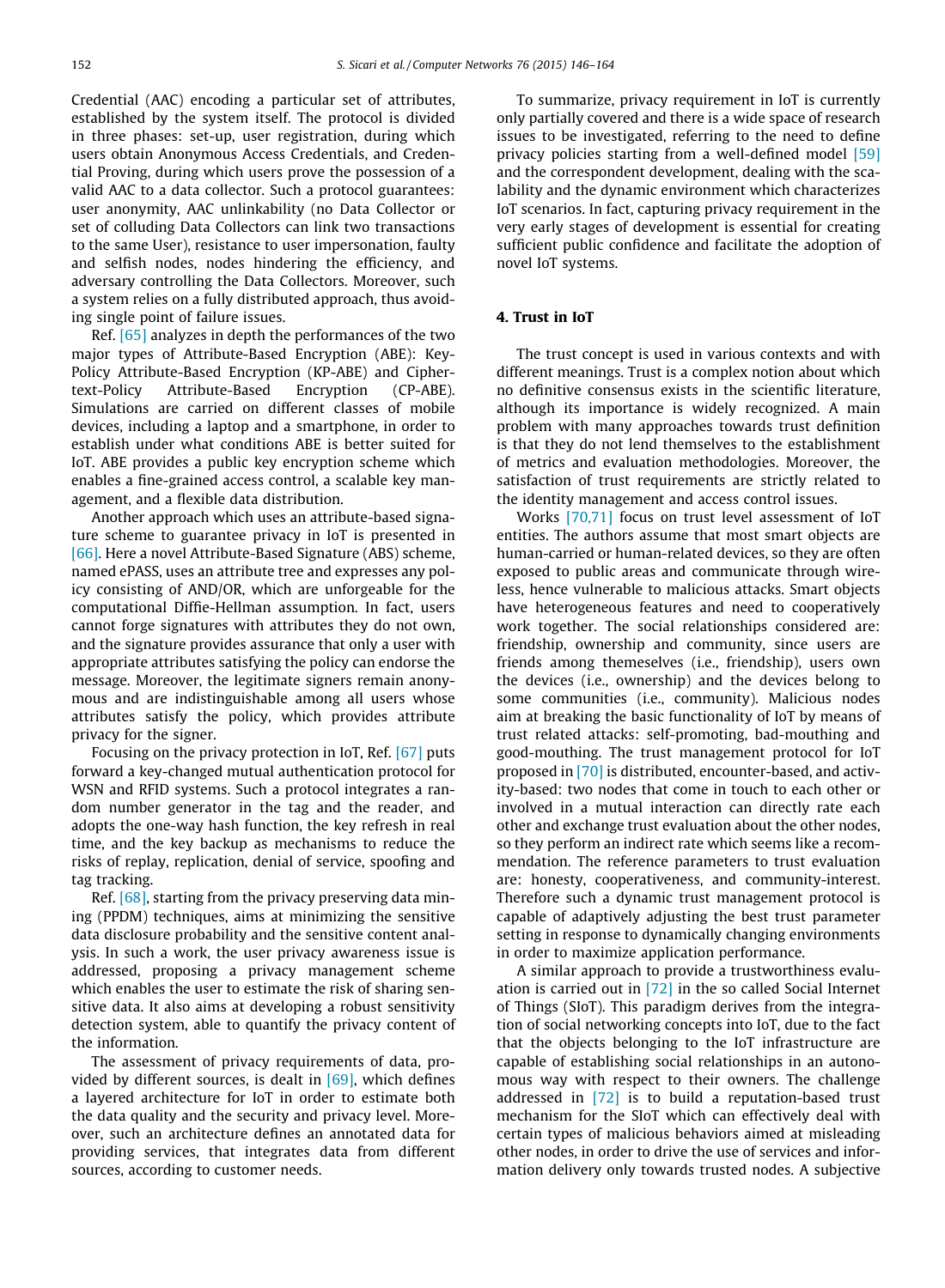Credential (AAC) encoding a particular set of attributes, established by the system itself. The protocol is divided in three phases: set-up, user registration, during which users obtain Anonymous Access Credentials, and Credential Proving, during which users prove the possession of a valid AAC to a data collector. Such a protocol guarantees: user anonymity, AAC unlinkability (no Data Collector or set of colluding Data Collectors can link two transactions to the same User), resistance to user impersonation, faulty and selfish nodes, nodes hindering the efficiency, and adversary controlling the Data Collectors. Moreover, such a system relies on a fully distributed approach, thus avoiding single point of failure issues.

Ref. [\[65\]](#page-16-0) analyzes in depth the performances of the two major types of Attribute-Based Encryption (ABE): Key-Policy Attribute-Based Encryption (KP-ABE) and Ciphertext-Policy Attribute-Based Encryption (CP-ABE). Simulations are carried on different classes of mobile devices, including a laptop and a smartphone, in order to establish under what conditions ABE is better suited for IoT. ABE provides a public key encryption scheme which enables a fine-grained access control, a scalable key management, and a flexible data distribution.

Another approach which uses an attribute-based signature scheme to guarantee privacy in IoT is presented in [\[66\].](#page-16-0) Here a novel Attribute-Based Signature (ABS) scheme, named ePASS, uses an attribute tree and expresses any policy consisting of AND/OR, which are unforgeable for the computational Diffie-Hellman assumption. In fact, users cannot forge signatures with attributes they do not own, and the signature provides assurance that only a user with appropriate attributes satisfying the policy can endorse the message. Moreover, the legitimate signers remain anonymous and are indistinguishable among all users whose attributes satisfy the policy, which provides attribute privacy for the signer.

Focusing on the privacy protection in IoT, Ref. [\[67\]](#page-16-0) puts forward a key-changed mutual authentication protocol for WSN and RFID systems. Such a protocol integrates a random number generator in the tag and the reader, and adopts the one-way hash function, the key refresh in real time, and the key backup as mechanisms to reduce the risks of replay, replication, denial of service, spoofing and tag tracking.

Ref. [\[68\]](#page-16-0), starting from the privacy preserving data mining (PPDM) techniques, aims at minimizing the sensitive data disclosure probability and the sensitive content analysis. In such a work, the user privacy awareness issue is addressed, proposing a privacy management scheme which enables the user to estimate the risk of sharing sensitive data. It also aims at developing a robust sensitivity detection system, able to quantify the privacy content of the information.

The assessment of privacy requirements of data, provided by different sources, is dealt in  $[69]$ , which defines a layered architecture for IoT in order to estimate both the data quality and the security and privacy level. Moreover, such an architecture defines an annotated data for providing services, that integrates data from different sources, according to customer needs.

To summarize, privacy requirement in IoT is currently only partially covered and there is a wide space of research issues to be investigated, referring to the need to define privacy policies starting from a well-defined model [\[59\]](#page-16-0) and the correspondent development, dealing with the scalability and the dynamic environment which characterizes IoT scenarios. In fact, capturing privacy requirement in the very early stages of development is essential for creating sufficient public confidence and facilitate the adoption of novel IoT systems.

#### 4. Trust in IoT

The trust concept is used in various contexts and with different meanings. Trust is a complex notion about which no definitive consensus exists in the scientific literature, although its importance is widely recognized. A main problem with many approaches towards trust definition is that they do not lend themselves to the establishment of metrics and evaluation methodologies. Moreover, the satisfaction of trust requirements are strictly related to the identity management and access control issues.

Works [\[70,71\]](#page-16-0) focus on trust level assessment of IoT entities. The authors assume that most smart objects are human-carried or human-related devices, so they are often exposed to public areas and communicate through wireless, hence vulnerable to malicious attacks. Smart objects have heterogeneous features and need to cooperatively work together. The social relationships considered are: friendship, ownership and community, since users are friends among themeselves (i.e., friendship), users own the devices (i.e., ownership) and the devices belong to some communities (i.e., community). Malicious nodes aim at breaking the basic functionality of IoT by means of trust related attacks: self-promoting, bad-mouthing and good-mouthing. The trust management protocol for IoT proposed in [\[70\]](#page-16-0) is distributed, encounter-based, and activity-based: two nodes that come in touch to each other or involved in a mutual interaction can directly rate each other and exchange trust evaluation about the other nodes, so they perform an indirect rate which seems like a recommendation. The reference parameters to trust evaluation are: honesty, cooperativeness, and community-interest. Therefore such a dynamic trust management protocol is capable of adaptively adjusting the best trust parameter setting in response to dynamically changing environments in order to maximize application performance.

A similar approach to provide a trustworthiness evaluation is carried out in  $[72]$  in the so called Social Internet of Things (SIoT). This paradigm derives from the integration of social networking concepts into IoT, due to the fact that the objects belonging to the IoT infrastructure are capable of establishing social relationships in an autonomous way with respect to their owners. The challenge addressed in [\[72\]](#page-16-0) is to build a reputation-based trust mechanism for the SIoT which can effectively deal with certain types of malicious behaviors aimed at misleading other nodes, in order to drive the use of services and information delivery only towards trusted nodes. A subjective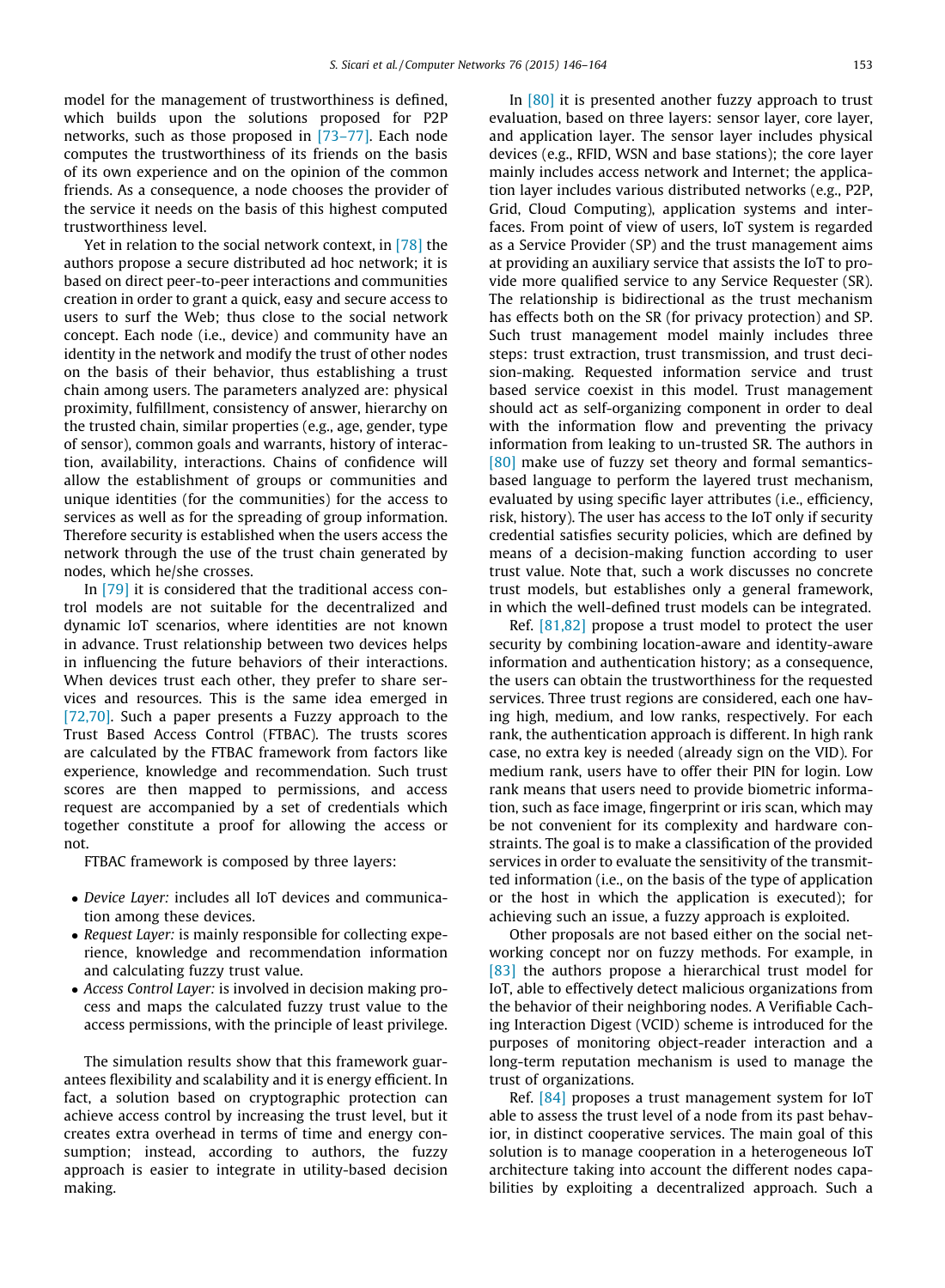model for the management of trustworthiness is defined, which builds upon the solutions proposed for P2P networks, such as those proposed in [\[73–77\].](#page-16-0) Each node computes the trustworthiness of its friends on the basis of its own experience and on the opinion of the common friends. As a consequence, a node chooses the provider of the service it needs on the basis of this highest computed trustworthiness level.

Yet in relation to the social network context, in [\[78\]](#page-16-0) the authors propose a secure distributed ad hoc network; it is based on direct peer-to-peer interactions and communities creation in order to grant a quick, easy and secure access to users to surf the Web; thus close to the social network concept. Each node (i.e., device) and community have an identity in the network and modify the trust of other nodes on the basis of their behavior, thus establishing a trust chain among users. The parameters analyzed are: physical proximity, fulfillment, consistency of answer, hierarchy on the trusted chain, similar properties (e.g., age, gender, type of sensor), common goals and warrants, history of interaction, availability, interactions. Chains of confidence will allow the establishment of groups or communities and unique identities (for the communities) for the access to services as well as for the spreading of group information. Therefore security is established when the users access the network through the use of the trust chain generated by nodes, which he/she crosses.

In [\[79\]](#page-16-0) it is considered that the traditional access control models are not suitable for the decentralized and dynamic IoT scenarios, where identities are not known in advance. Trust relationship between two devices helps in influencing the future behaviors of their interactions. When devices trust each other, they prefer to share services and resources. This is the same idea emerged in [\[72,70\].](#page-16-0) Such a paper presents a Fuzzy approach to the Trust Based Access Control (FTBAC). The trusts scores are calculated by the FTBAC framework from factors like experience, knowledge and recommendation. Such trust scores are then mapped to permissions, and access request are accompanied by a set of credentials which together constitute a proof for allowing the access or not.

FTBAC framework is composed by three layers:

- Device Layer: includes all IoT devices and communication among these devices.
- Request Layer: is mainly responsible for collecting experience, knowledge and recommendation information and calculating fuzzy trust value.
- Access Control Layer: is involved in decision making process and maps the calculated fuzzy trust value to the access permissions, with the principle of least privilege.

The simulation results show that this framework guarantees flexibility and scalability and it is energy efficient. In fact, a solution based on cryptographic protection can achieve access control by increasing the trust level, but it creates extra overhead in terms of time and energy consumption; instead, according to authors, the fuzzy approach is easier to integrate in utility-based decision making.

In [\[80\]](#page-16-0) it is presented another fuzzy approach to trust evaluation, based on three layers: sensor layer, core layer, and application layer. The sensor layer includes physical devices (e.g., RFID, WSN and base stations); the core layer mainly includes access network and Internet; the application layer includes various distributed networks (e.g., P2P, Grid, Cloud Computing), application systems and interfaces. From point of view of users, IoT system is regarded as a Service Provider (SP) and the trust management aims at providing an auxiliary service that assists the IoT to provide more qualified service to any Service Requester (SR). The relationship is bidirectional as the trust mechanism has effects both on the SR (for privacy protection) and SP. Such trust management model mainly includes three steps: trust extraction, trust transmission, and trust decision-making. Requested information service and trust based service coexist in this model. Trust management should act as self-organizing component in order to deal with the information flow and preventing the privacy information from leaking to un-trusted SR. The authors in [\[80\]](#page-16-0) make use of fuzzy set theory and formal semanticsbased language to perform the layered trust mechanism, evaluated by using specific layer attributes (i.e., efficiency, risk, history). The user has access to the IoT only if security credential satisfies security policies, which are defined by means of a decision-making function according to user trust value. Note that, such a work discusses no concrete trust models, but establishes only a general framework, in which the well-defined trust models can be integrated.

Ref.  $[81,82]$  propose a trust model to protect the user security by combining location-aware and identity-aware information and authentication history; as a consequence, the users can obtain the trustworthiness for the requested services. Three trust regions are considered, each one having high, medium, and low ranks, respectively. For each rank, the authentication approach is different. In high rank case, no extra key is needed (already sign on the VID). For medium rank, users have to offer their PIN for login. Low rank means that users need to provide biometric information, such as face image, fingerprint or iris scan, which may be not convenient for its complexity and hardware constraints. The goal is to make a classification of the provided services in order to evaluate the sensitivity of the transmitted information (i.e., on the basis of the type of application or the host in which the application is executed); for achieving such an issue, a fuzzy approach is exploited.

Other proposals are not based either on the social networking concept nor on fuzzy methods. For example, in [\[83\]](#page-16-0) the authors propose a hierarchical trust model for IoT, able to effectively detect malicious organizations from the behavior of their neighboring nodes. A Verifiable Caching Interaction Digest (VCID) scheme is introduced for the purposes of monitoring object-reader interaction and a long-term reputation mechanism is used to manage the trust of organizations.

Ref. [\[84\]](#page-16-0) proposes a trust management system for IoT able to assess the trust level of a node from its past behavior, in distinct cooperative services. The main goal of this solution is to manage cooperation in a heterogeneous IoT architecture taking into account the different nodes capabilities by exploiting a decentralized approach. Such a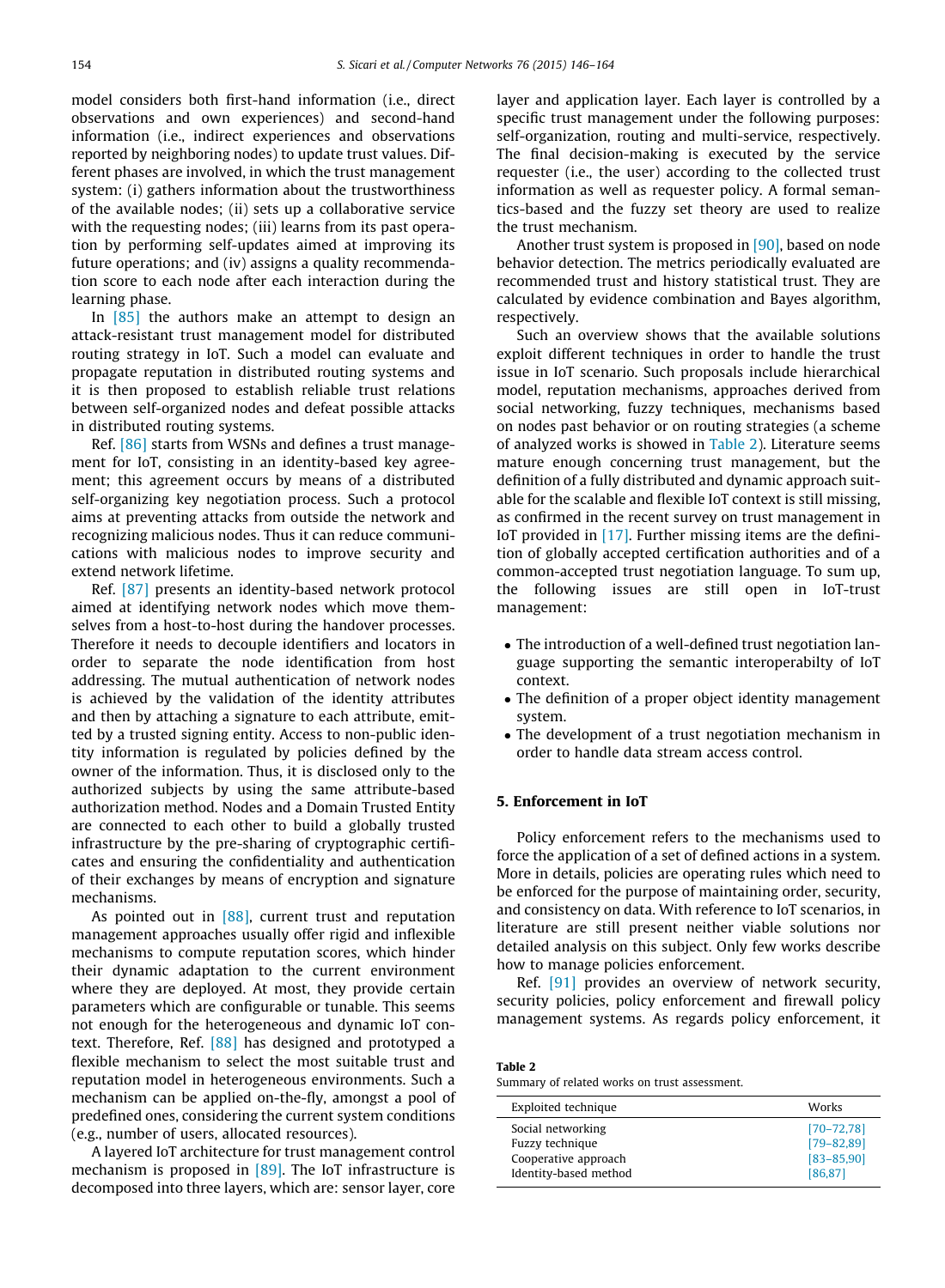<span id="page-8-0"></span>model considers both first-hand information (i.e., direct observations and own experiences) and second-hand information (i.e., indirect experiences and observations reported by neighboring nodes) to update trust values. Different phases are involved, in which the trust management system: (i) gathers information about the trustworthiness of the available nodes; (ii) sets up a collaborative service with the requesting nodes; (iii) learns from its past operation by performing self-updates aimed at improving its future operations; and (iv) assigns a quality recommendation score to each node after each interaction during the learning phase.

In [\[85\]](#page-16-0) the authors make an attempt to design an attack-resistant trust management model for distributed routing strategy in IoT. Such a model can evaluate and propagate reputation in distributed routing systems and it is then proposed to establish reliable trust relations between self-organized nodes and defeat possible attacks in distributed routing systems.

Ref. [\[86\]](#page-16-0) starts from WSNs and defines a trust management for IoT, consisting in an identity-based key agreement; this agreement occurs by means of a distributed self-organizing key negotiation process. Such a protocol aims at preventing attacks from outside the network and recognizing malicious nodes. Thus it can reduce communications with malicious nodes to improve security and extend network lifetime.

Ref. [\[87\]](#page-16-0) presents an identity-based network protocol aimed at identifying network nodes which move themselves from a host-to-host during the handover processes. Therefore it needs to decouple identifiers and locators in order to separate the node identification from host addressing. The mutual authentication of network nodes is achieved by the validation of the identity attributes and then by attaching a signature to each attribute, emitted by a trusted signing entity. Access to non-public identity information is regulated by policies defined by the owner of the information. Thus, it is disclosed only to the authorized subjects by using the same attribute-based authorization method. Nodes and a Domain Trusted Entity are connected to each other to build a globally trusted infrastructure by the pre-sharing of cryptographic certificates and ensuring the confidentiality and authentication of their exchanges by means of encryption and signature mechanisms.

As pointed out in  $[88]$ , current trust and reputation management approaches usually offer rigid and inflexible mechanisms to compute reputation scores, which hinder their dynamic adaptation to the current environment where they are deployed. At most, they provide certain parameters which are configurable or tunable. This seems not enough for the heterogeneous and dynamic IoT context. Therefore, Ref. [\[88\]](#page-16-0) has designed and prototyped a flexible mechanism to select the most suitable trust and reputation model in heterogeneous environments. Such a mechanism can be applied on-the-fly, amongst a pool of predefined ones, considering the current system conditions (e.g., number of users, allocated resources).

A layered IoT architecture for trust management control mechanism is proposed in [\[89\].](#page-16-0) The IoT infrastructure is decomposed into three layers, which are: sensor layer, core layer and application layer. Each layer is controlled by a specific trust management under the following purposes: self-organization, routing and multi-service, respectively. The final decision-making is executed by the service requester (i.e., the user) according to the collected trust information as well as requester policy. A formal semantics-based and the fuzzy set theory are used to realize the trust mechanism.

Another trust system is proposed in [\[90\]](#page-16-0), based on node behavior detection. The metrics periodically evaluated are recommended trust and history statistical trust. They are calculated by evidence combination and Bayes algorithm, respectively.

Such an overview shows that the available solutions exploit different techniques in order to handle the trust issue in IoT scenario. Such proposals include hierarchical model, reputation mechanisms, approaches derived from social networking, fuzzy techniques, mechanisms based on nodes past behavior or on routing strategies (a scheme of analyzed works is showed in Table 2). Literature seems mature enough concerning trust management, but the definition of a fully distributed and dynamic approach suitable for the scalable and flexible IoT context is still missing, as confirmed in the recent survey on trust management in IoT provided in [\[17\]](#page-15-0). Further missing items are the definition of globally accepted certification authorities and of a common-accepted trust negotiation language. To sum up, the following issues are still open in IoT-trust management:

- The introduction of a well-defined trust negotiation language supporting the semantic interoperabilty of IoT context.
- The definition of a proper object identity management system.
- The development of a trust negotiation mechanism in order to handle data stream access control.

#### 5. Enforcement in IoT

Policy enforcement refers to the mechanisms used to force the application of a set of defined actions in a system. More in details, policies are operating rules which need to be enforced for the purpose of maintaining order, security, and consistency on data. With reference to IoT scenarios, in literature are still present neither viable solutions nor detailed analysis on this subject. Only few works describe how to manage policies enforcement.

Ref. [\[91\]](#page-16-0) provides an overview of network security, security policies, policy enforcement and firewall policy management systems. As regards policy enforcement, it

#### Table 2

Summary of related works on trust assessment.

| Exploited technique                  | Works                              |  |  |  |
|--------------------------------------|------------------------------------|--|--|--|
| Social networking<br>Fuzzy technique | $[70 - 72, 78]$<br>$[79 - 82, 89]$ |  |  |  |
| Cooperative approach                 | $[83 - 85, 90]$                    |  |  |  |
| Identity-based method                | [86,87]                            |  |  |  |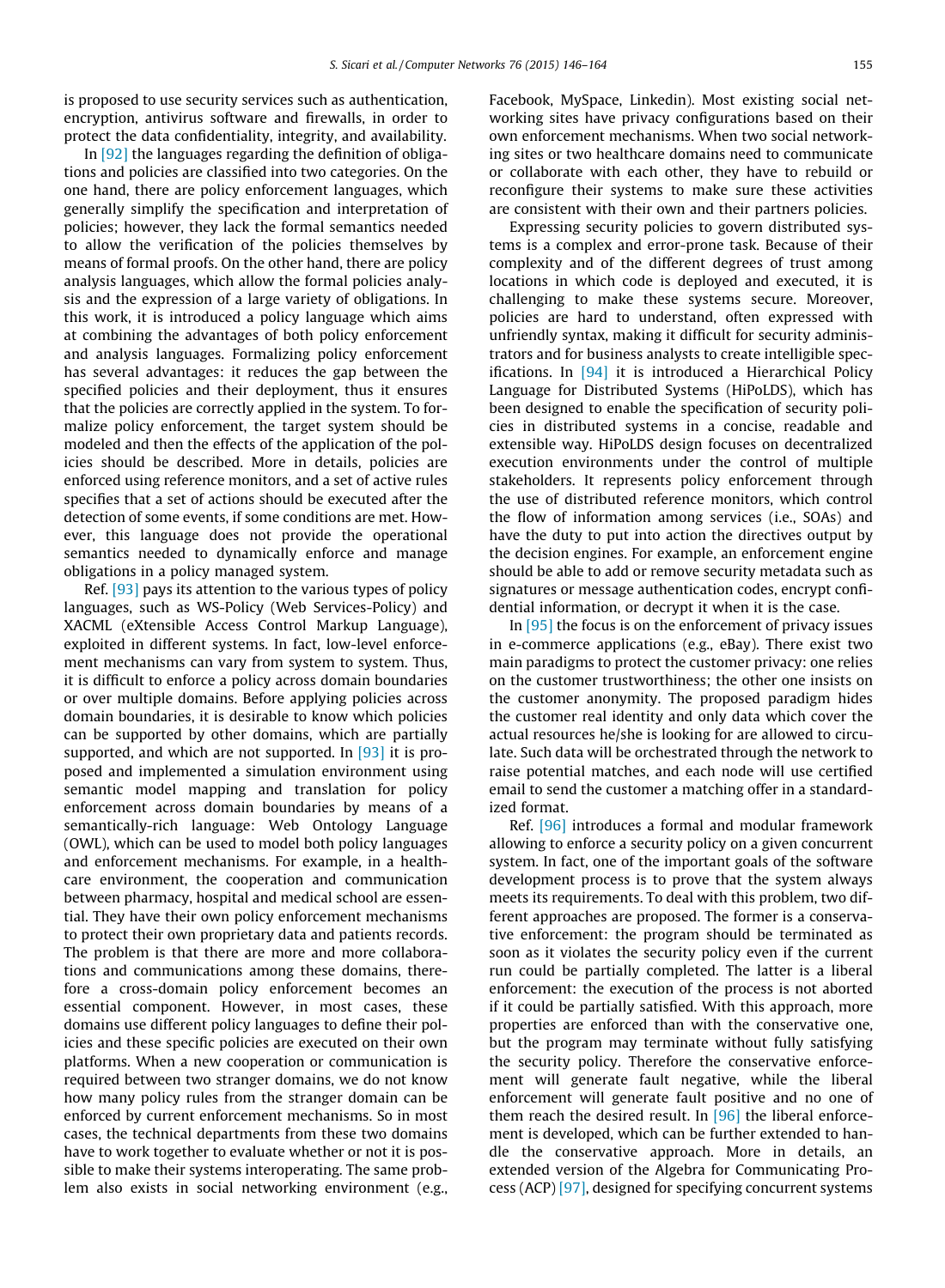is proposed to use security services such as authentication, encryption, antivirus software and firewalls, in order to protect the data confidentiality, integrity, and availability.

In [\[92\]](#page-16-0) the languages regarding the definition of obligations and policies are classified into two categories. On the one hand, there are policy enforcement languages, which generally simplify the specification and interpretation of policies; however, they lack the formal semantics needed to allow the verification of the policies themselves by means of formal proofs. On the other hand, there are policy analysis languages, which allow the formal policies analysis and the expression of a large variety of obligations. In this work, it is introduced a policy language which aims at combining the advantages of both policy enforcement and analysis languages. Formalizing policy enforcement has several advantages: it reduces the gap between the specified policies and their deployment, thus it ensures that the policies are correctly applied in the system. To formalize policy enforcement, the target system should be modeled and then the effects of the application of the policies should be described. More in details, policies are enforced using reference monitors, and a set of active rules specifies that a set of actions should be executed after the detection of some events, if some conditions are met. However, this language does not provide the operational semantics needed to dynamically enforce and manage obligations in a policy managed system.

Ref. [\[93\]](#page-16-0) pays its attention to the various types of policy languages, such as WS-Policy (Web Services-Policy) and XACML (eXtensible Access Control Markup Language), exploited in different systems. In fact, low-level enforcement mechanisms can vary from system to system. Thus, it is difficult to enforce a policy across domain boundaries or over multiple domains. Before applying policies across domain boundaries, it is desirable to know which policies can be supported by other domains, which are partially supported, and which are not supported. In [\[93\]](#page-16-0) it is proposed and implemented a simulation environment using semantic model mapping and translation for policy enforcement across domain boundaries by means of a semantically-rich language: Web Ontology Language (OWL), which can be used to model both policy languages and enforcement mechanisms. For example, in a healthcare environment, the cooperation and communication between pharmacy, hospital and medical school are essential. They have their own policy enforcement mechanisms to protect their own proprietary data and patients records. The problem is that there are more and more collaborations and communications among these domains, therefore a cross-domain policy enforcement becomes an essential component. However, in most cases, these domains use different policy languages to define their policies and these specific policies are executed on their own platforms. When a new cooperation or communication is required between two stranger domains, we do not know how many policy rules from the stranger domain can be enforced by current enforcement mechanisms. So in most cases, the technical departments from these two domains have to work together to evaluate whether or not it is possible to make their systems interoperating. The same problem also exists in social networking environment (e.g., Facebook, MySpace, Linkedin). Most existing social networking sites have privacy configurations based on their own enforcement mechanisms. When two social networking sites or two healthcare domains need to communicate or collaborate with each other, they have to rebuild or reconfigure their systems to make sure these activities are consistent with their own and their partners policies.

Expressing security policies to govern distributed systems is a complex and error-prone task. Because of their complexity and of the different degrees of trust among locations in which code is deployed and executed, it is challenging to make these systems secure. Moreover, policies are hard to understand, often expressed with unfriendly syntax, making it difficult for security administrators and for business analysts to create intelligible specifications. In [\[94\]](#page-16-0) it is introduced a Hierarchical Policy Language for Distributed Systems (HiPoLDS), which has been designed to enable the specification of security policies in distributed systems in a concise, readable and extensible way. HiPoLDS design focuses on decentralized execution environments under the control of multiple stakeholders. It represents policy enforcement through the use of distributed reference monitors, which control the flow of information among services (i.e., SOAs) and have the duty to put into action the directives output by the decision engines. For example, an enforcement engine should be able to add or remove security metadata such as signatures or message authentication codes, encrypt confidential information, or decrypt it when it is the case.

In [\[95\]](#page-17-0) the focus is on the enforcement of privacy issues in e-commerce applications (e.g., eBay). There exist two main paradigms to protect the customer privacy: one relies on the customer trustworthiness; the other one insists on the customer anonymity. The proposed paradigm hides the customer real identity and only data which cover the actual resources he/she is looking for are allowed to circulate. Such data will be orchestrated through the network to raise potential matches, and each node will use certified email to send the customer a matching offer in a standardized format.

Ref. [\[96\]](#page-17-0) introduces a formal and modular framework allowing to enforce a security policy on a given concurrent system. In fact, one of the important goals of the software development process is to prove that the system always meets its requirements. To deal with this problem, two different approaches are proposed. The former is a conservative enforcement: the program should be terminated as soon as it violates the security policy even if the current run could be partially completed. The latter is a liberal enforcement: the execution of the process is not aborted if it could be partially satisfied. With this approach, more properties are enforced than with the conservative one, but the program may terminate without fully satisfying the security policy. Therefore the conservative enforcement will generate fault negative, while the liberal enforcement will generate fault positive and no one of them reach the desired result. In  $[96]$  the liberal enforcement is developed, which can be further extended to handle the conservative approach. More in details, an extended version of the Algebra for Communicating Process (ACP) [\[97\],](#page-17-0) designed for specifying concurrent systems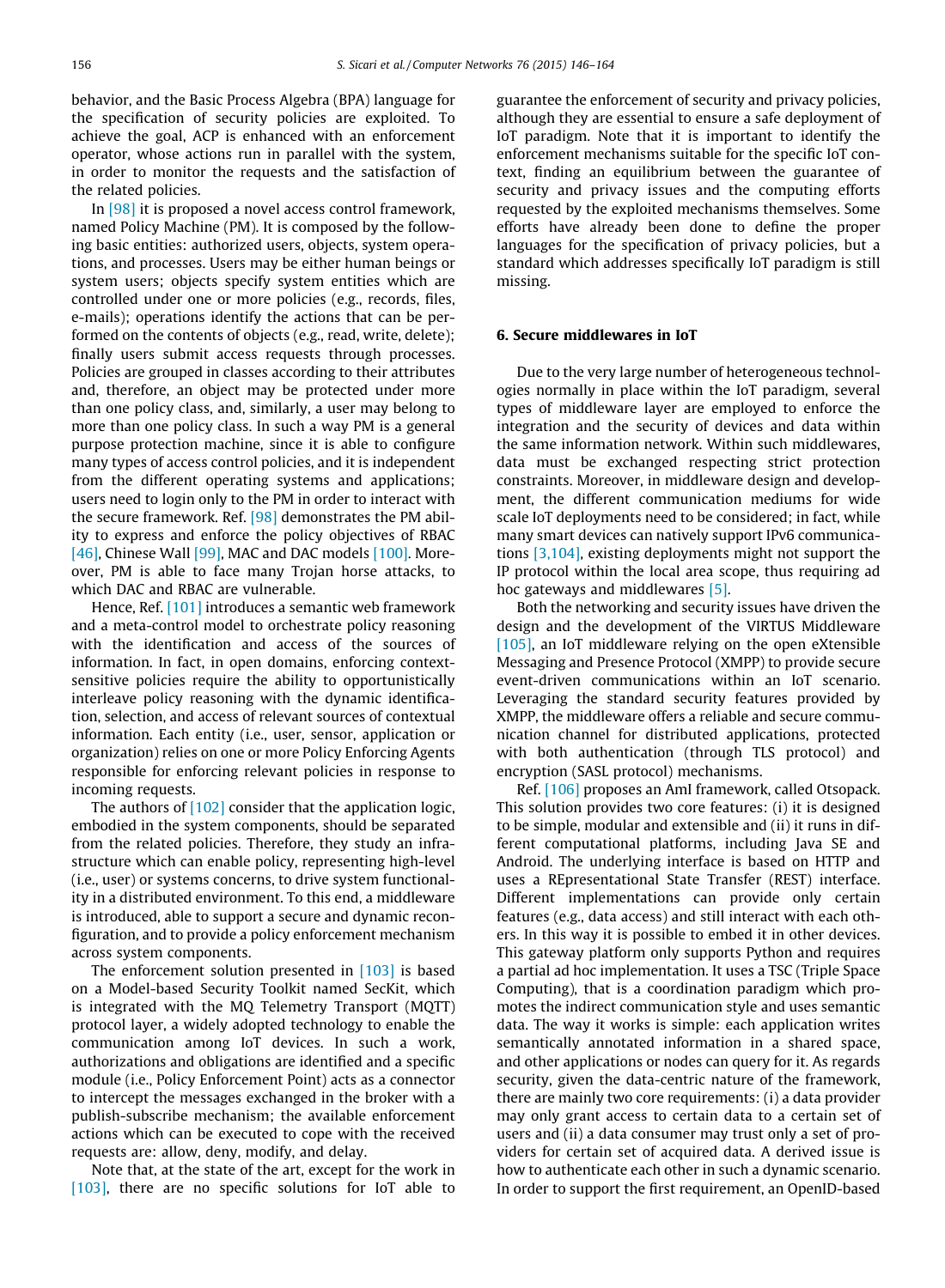<span id="page-10-0"></span>behavior, and the Basic Process Algebra (BPA) language for the specification of security policies are exploited. To achieve the goal, ACP is enhanced with an enforcement operator, whose actions run in parallel with the system, in order to monitor the requests and the satisfaction of the related policies.

In [\[98\]](#page-17-0) it is proposed a novel access control framework, named Policy Machine (PM). It is composed by the following basic entities: authorized users, objects, system operations, and processes. Users may be either human beings or system users; objects specify system entities which are controlled under one or more policies (e.g., records, files, e-mails); operations identify the actions that can be performed on the contents of objects (e.g., read, write, delete); finally users submit access requests through processes. Policies are grouped in classes according to their attributes and, therefore, an object may be protected under more than one policy class, and, similarly, a user may belong to more than one policy class. In such a way PM is a general purpose protection machine, since it is able to configure many types of access control policies, and it is independent from the different operating systems and applications; users need to login only to the PM in order to interact with the secure framework. Ref. [\[98\]](#page-17-0) demonstrates the PM ability to express and enforce the policy objectives of RBAC [\[46\],](#page-15-0) Chinese Wall [\[99\]](#page-17-0), MAC and DAC models  $[100]$ . Moreover, PM is able to face many Trojan horse attacks, to which DAC and RBAC are vulnerable.

Hence, Ref. [\[101\]](#page-17-0) introduces a semantic web framework and a meta-control model to orchestrate policy reasoning with the identification and access of the sources of information. In fact, in open domains, enforcing contextsensitive policies require the ability to opportunistically interleave policy reasoning with the dynamic identification, selection, and access of relevant sources of contextual information. Each entity (i.e., user, sensor, application or organization) relies on one or more Policy Enforcing Agents responsible for enforcing relevant policies in response to incoming requests.

The authors of [\[102\]](#page-17-0) consider that the application logic, embodied in the system components, should be separated from the related policies. Therefore, they study an infrastructure which can enable policy, representing high-level (i.e., user) or systems concerns, to drive system functionality in a distributed environment. To this end, a middleware is introduced, able to support a secure and dynamic reconfiguration, and to provide a policy enforcement mechanism across system components.

The enforcement solution presented in [\[103\]](#page-17-0) is based on a Model-based Security Toolkit named SecKit, which is integrated with the MQ Telemetry Transport (MQTT) protocol layer, a widely adopted technology to enable the communication among IoT devices. In such a work, authorizations and obligations are identified and a specific module (i.e., Policy Enforcement Point) acts as a connector to intercept the messages exchanged in the broker with a publish-subscribe mechanism; the available enforcement actions which can be executed to cope with the received requests are: allow, deny, modify, and delay.

Note that, at the state of the art, except for the work in [\[103\]](#page-17-0), there are no specific solutions for IoT able to guarantee the enforcement of security and privacy policies, although they are essential to ensure a safe deployment of IoT paradigm. Note that it is important to identify the enforcement mechanisms suitable for the specific IoT context, finding an equilibrium between the guarantee of security and privacy issues and the computing efforts requested by the exploited mechanisms themselves. Some efforts have already been done to define the proper languages for the specification of privacy policies, but a standard which addresses specifically IoT paradigm is still missing.

#### 6. Secure middlewares in IoT

Due to the very large number of heterogeneous technologies normally in place within the IoT paradigm, several types of middleware layer are employed to enforce the integration and the security of devices and data within the same information network. Within such middlewares, data must be exchanged respecting strict protection constraints. Moreover, in middleware design and development, the different communication mediums for wide scale IoT deployments need to be considered; in fact, while many smart devices can natively support IPv6 communications [\[3,104\]](#page-15-0), existing deployments might not support the IP protocol within the local area scope, thus requiring ad hoc gateways and middlewares [\[5\]](#page-15-0).

Both the networking and security issues have driven the design and the development of the VIRTUS Middleware [\[105\]](#page-17-0), an IoT middleware relying on the open eXtensible Messaging and Presence Protocol (XMPP) to provide secure event-driven communications within an IoT scenario. Leveraging the standard security features provided by XMPP, the middleware offers a reliable and secure communication channel for distributed applications, protected with both authentication (through TLS protocol) and encryption (SASL protocol) mechanisms.

Ref. [\[106\]](#page-17-0) proposes an AmI framework, called Otsopack. This solution provides two core features: (i) it is designed to be simple, modular and extensible and (ii) it runs in different computational platforms, including Java SE and Android. The underlying interface is based on HTTP and uses a REpresentational State Transfer (REST) interface. Different implementations can provide only certain features (e.g., data access) and still interact with each others. In this way it is possible to embed it in other devices. This gateway platform only supports Python and requires a partial ad hoc implementation. It uses a TSC (Triple Space Computing), that is a coordination paradigm which promotes the indirect communication style and uses semantic data. The way it works is simple: each application writes semantically annotated information in a shared space, and other applications or nodes can query for it. As regards security, given the data-centric nature of the framework, there are mainly two core requirements: (i) a data provider may only grant access to certain data to a certain set of users and (ii) a data consumer may trust only a set of providers for certain set of acquired data. A derived issue is how to authenticate each other in such a dynamic scenario. In order to support the first requirement, an OpenID-based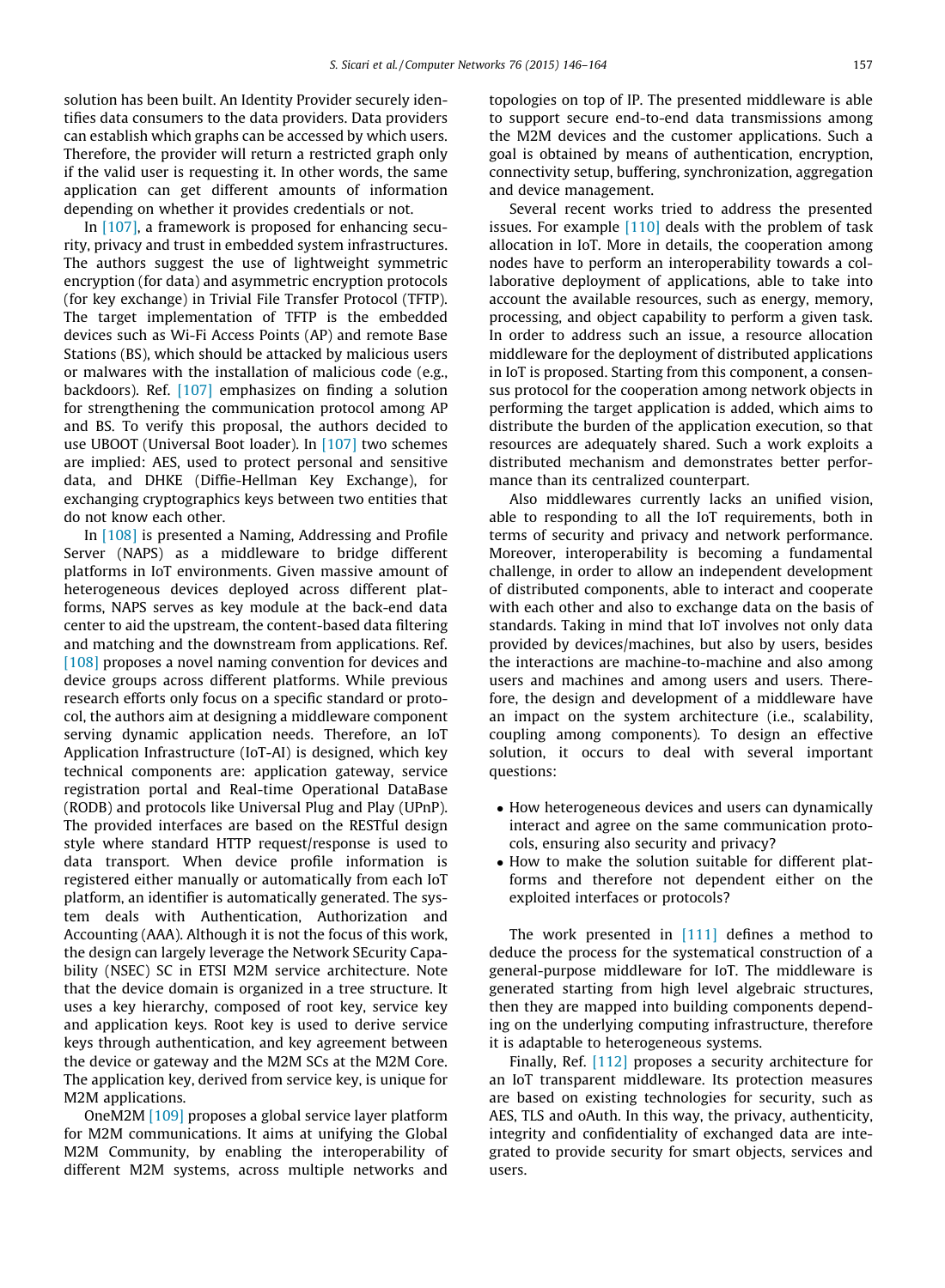solution has been built. An Identity Provider securely identifies data consumers to the data providers. Data providers can establish which graphs can be accessed by which users. Therefore, the provider will return a restricted graph only if the valid user is requesting it. In other words, the same application can get different amounts of information depending on whether it provides credentials or not.

In [\[107\]](#page-17-0), a framework is proposed for enhancing security, privacy and trust in embedded system infrastructures. The authors suggest the use of lightweight symmetric encryption (for data) and asymmetric encryption protocols (for key exchange) in Trivial File Transfer Protocol (TFTP). The target implementation of TFTP is the embedded devices such as Wi-Fi Access Points (AP) and remote Base Stations (BS), which should be attacked by malicious users or malwares with the installation of malicious code (e.g., backdoors). Ref. [\[107\]](#page-17-0) emphasizes on finding a solution for strengthening the communication protocol among AP and BS. To verify this proposal, the authors decided to use UBOOT (Universal Boot loader). In [\[107\]](#page-17-0) two schemes are implied: AES, used to protect personal and sensitive data, and DHKE (Diffie-Hellman Key Exchange), for exchanging cryptographics keys between two entities that do not know each other.

In [\[108\]](#page-17-0) is presented a Naming, Addressing and Profile Server (NAPS) as a middleware to bridge different platforms in IoT environments. Given massive amount of heterogeneous devices deployed across different platforms, NAPS serves as key module at the back-end data center to aid the upstream, the content-based data filtering and matching and the downstream from applications. Ref. [\[108\]](#page-17-0) proposes a novel naming convention for devices and device groups across different platforms. While previous research efforts only focus on a specific standard or protocol, the authors aim at designing a middleware component serving dynamic application needs. Therefore, an IoT Application Infrastructure (IoT-AI) is designed, which key technical components are: application gateway, service registration portal and Real-time Operational DataBase (RODB) and protocols like Universal Plug and Play (UPnP). The provided interfaces are based on the RESTful design style where standard HTTP request/response is used to data transport. When device profile information is registered either manually or automatically from each IoT platform, an identifier is automatically generated. The system deals with Authentication, Authorization and Accounting (AAA). Although it is not the focus of this work, the design can largely leverage the Network SEcurity Capability (NSEC) SC in ETSI M2M service architecture. Note that the device domain is organized in a tree structure. It uses a key hierarchy, composed of root key, service key and application keys. Root key is used to derive service keys through authentication, and key agreement between the device or gateway and the M2M SCs at the M2M Core. The application key, derived from service key, is unique for M2M applications.

OneM2M [\[109\]](#page-17-0) proposes a global service layer platform for M2M communications. It aims at unifying the Global M2M Community, by enabling the interoperability of different M2M systems, across multiple networks and topologies on top of IP. The presented middleware is able to support secure end-to-end data transmissions among the M2M devices and the customer applications. Such a goal is obtained by means of authentication, encryption, connectivity setup, buffering, synchronization, aggregation and device management.

Several recent works tried to address the presented issues. For example [\[110\]](#page-17-0) deals with the problem of task allocation in IoT. More in details, the cooperation among nodes have to perform an interoperability towards a collaborative deployment of applications, able to take into account the available resources, such as energy, memory, processing, and object capability to perform a given task. In order to address such an issue, a resource allocation middleware for the deployment of distributed applications in IoT is proposed. Starting from this component, a consensus protocol for the cooperation among network objects in performing the target application is added, which aims to distribute the burden of the application execution, so that resources are adequately shared. Such a work exploits a distributed mechanism and demonstrates better performance than its centralized counterpart.

Also middlewares currently lacks an unified vision, able to responding to all the IoT requirements, both in terms of security and privacy and network performance. Moreover, interoperability is becoming a fundamental challenge, in order to allow an independent development of distributed components, able to interact and cooperate with each other and also to exchange data on the basis of standards. Taking in mind that IoT involves not only data provided by devices/machines, but also by users, besides the interactions are machine-to-machine and also among users and machines and among users and users. Therefore, the design and development of a middleware have an impact on the system architecture (i.e., scalability, coupling among components). To design an effective solution, it occurs to deal with several important questions:

- How heterogeneous devices and users can dynamically interact and agree on the same communication protocols, ensuring also security and privacy?
- How to make the solution suitable for different platforms and therefore not dependent either on the exploited interfaces or protocols?

The work presented in  $[111]$  defines a method to deduce the process for the systematical construction of a general-purpose middleware for IoT. The middleware is generated starting from high level algebraic structures, then they are mapped into building components depending on the underlying computing infrastructure, therefore it is adaptable to heterogeneous systems.

Finally, Ref. [\[112\]](#page-17-0) proposes a security architecture for an IoT transparent middleware. Its protection measures are based on existing technologies for security, such as AES, TLS and oAuth. In this way, the privacy, authenticity, integrity and confidentiality of exchanged data are integrated to provide security for smart objects, services and users.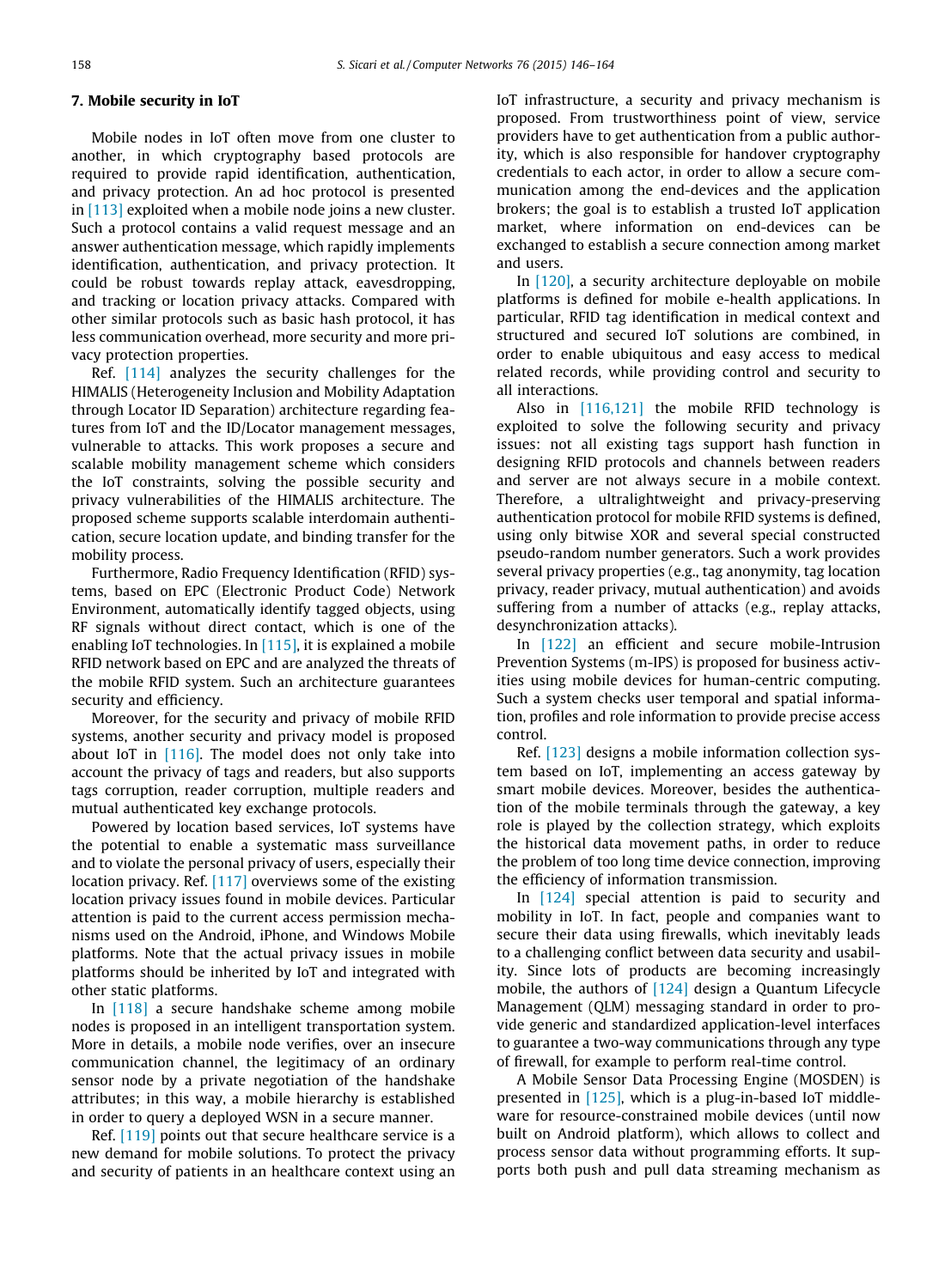#### <span id="page-12-0"></span>7. Mobile security in IoT

Mobile nodes in IoT often move from one cluster to another, in which cryptography based protocols are required to provide rapid identification, authentication, and privacy protection. An ad hoc protocol is presented in [\[113\]](#page-17-0) exploited when a mobile node joins a new cluster. Such a protocol contains a valid request message and an answer authentication message, which rapidly implements identification, authentication, and privacy protection. It could be robust towards replay attack, eavesdropping, and tracking or location privacy attacks. Compared with other similar protocols such as basic hash protocol, it has less communication overhead, more security and more privacy protection properties.

Ref. [\[114\]](#page-17-0) analyzes the security challenges for the HIMALIS (Heterogeneity Inclusion and Mobility Adaptation through Locator ID Separation) architecture regarding features from IoT and the ID/Locator management messages, vulnerable to attacks. This work proposes a secure and scalable mobility management scheme which considers the IoT constraints, solving the possible security and privacy vulnerabilities of the HIMALIS architecture. The proposed scheme supports scalable interdomain authentication, secure location update, and binding transfer for the mobility process.

Furthermore, Radio Frequency Identification (RFID) systems, based on EPC (Electronic Product Code) Network Environment, automatically identify tagged objects, using RF signals without direct contact, which is one of the enabling IoT technologies. In [\[115\]](#page-17-0), it is explained a mobile RFID network based on EPC and are analyzed the threats of the mobile RFID system. Such an architecture guarantees security and efficiency.

Moreover, for the security and privacy of mobile RFID systems, another security and privacy model is proposed about IoT in [\[116\]](#page-17-0). The model does not only take into account the privacy of tags and readers, but also supports tags corruption, reader corruption, multiple readers and mutual authenticated key exchange protocols.

Powered by location based services, IoT systems have the potential to enable a systematic mass surveillance and to violate the personal privacy of users, especially their location privacy. Ref. [\[117\]](#page-17-0) overviews some of the existing location privacy issues found in mobile devices. Particular attention is paid to the current access permission mechanisms used on the Android, iPhone, and Windows Mobile platforms. Note that the actual privacy issues in mobile platforms should be inherited by IoT and integrated with other static platforms.

In [\[118\]](#page-17-0) a secure handshake scheme among mobile nodes is proposed in an intelligent transportation system. More in details, a mobile node verifies, over an insecure communication channel, the legitimacy of an ordinary sensor node by a private negotiation of the handshake attributes; in this way, a mobile hierarchy is established in order to query a deployed WSN in a secure manner.

Ref. [\[119\]](#page-17-0) points out that secure healthcare service is a new demand for mobile solutions. To protect the privacy and security of patients in an healthcare context using an IoT infrastructure, a security and privacy mechanism is proposed. From trustworthiness point of view, service providers have to get authentication from a public authority, which is also responsible for handover cryptography credentials to each actor, in order to allow a secure communication among the end-devices and the application brokers; the goal is to establish a trusted IoT application market, where information on end-devices can be exchanged to establish a secure connection among market and users.

In [\[120\],](#page-17-0) a security architecture deployable on mobile platforms is defined for mobile e-health applications. In particular, RFID tag identification in medical context and structured and secured IoT solutions are combined, in order to enable ubiquitous and easy access to medical related records, while providing control and security to all interactions.

Also in [\[116,121\]](#page-17-0) the mobile RFID technology is exploited to solve the following security and privacy issues: not all existing tags support hash function in designing RFID protocols and channels between readers and server are not always secure in a mobile context. Therefore, a ultralightweight and privacy-preserving authentication protocol for mobile RFID systems is defined, using only bitwise XOR and several special constructed pseudo-random number generators. Such a work provides several privacy properties (e.g., tag anonymity, tag location privacy, reader privacy, mutual authentication) and avoids suffering from a number of attacks (e.g., replay attacks, desynchronization attacks).

In [\[122\]](#page-17-0) an efficient and secure mobile-Intrusion Prevention Systems (m-IPS) is proposed for business activities using mobile devices for human-centric computing. Such a system checks user temporal and spatial information, profiles and role information to provide precise access control.

Ref. [\[123\]](#page-17-0) designs a mobile information collection system based on IoT, implementing an access gateway by smart mobile devices. Moreover, besides the authentication of the mobile terminals through the gateway, a key role is played by the collection strategy, which exploits the historical data movement paths, in order to reduce the problem of too long time device connection, improving the efficiency of information transmission.

In [\[124\]](#page-17-0) special attention is paid to security and mobility in IoT. In fact, people and companies want to secure their data using firewalls, which inevitably leads to a challenging conflict between data security and usability. Since lots of products are becoming increasingly mobile, the authors of [\[124\]](#page-17-0) design a Quantum Lifecycle Management (QLM) messaging standard in order to provide generic and standardized application-level interfaces to guarantee a two-way communications through any type of firewall, for example to perform real-time control.

A Mobile Sensor Data Processing Engine (MOSDEN) is presented in [\[125\],](#page-17-0) which is a plug-in-based IoT middleware for resource-constrained mobile devices (until now built on Android platform), which allows to collect and process sensor data without programming efforts. It supports both push and pull data streaming mechanism as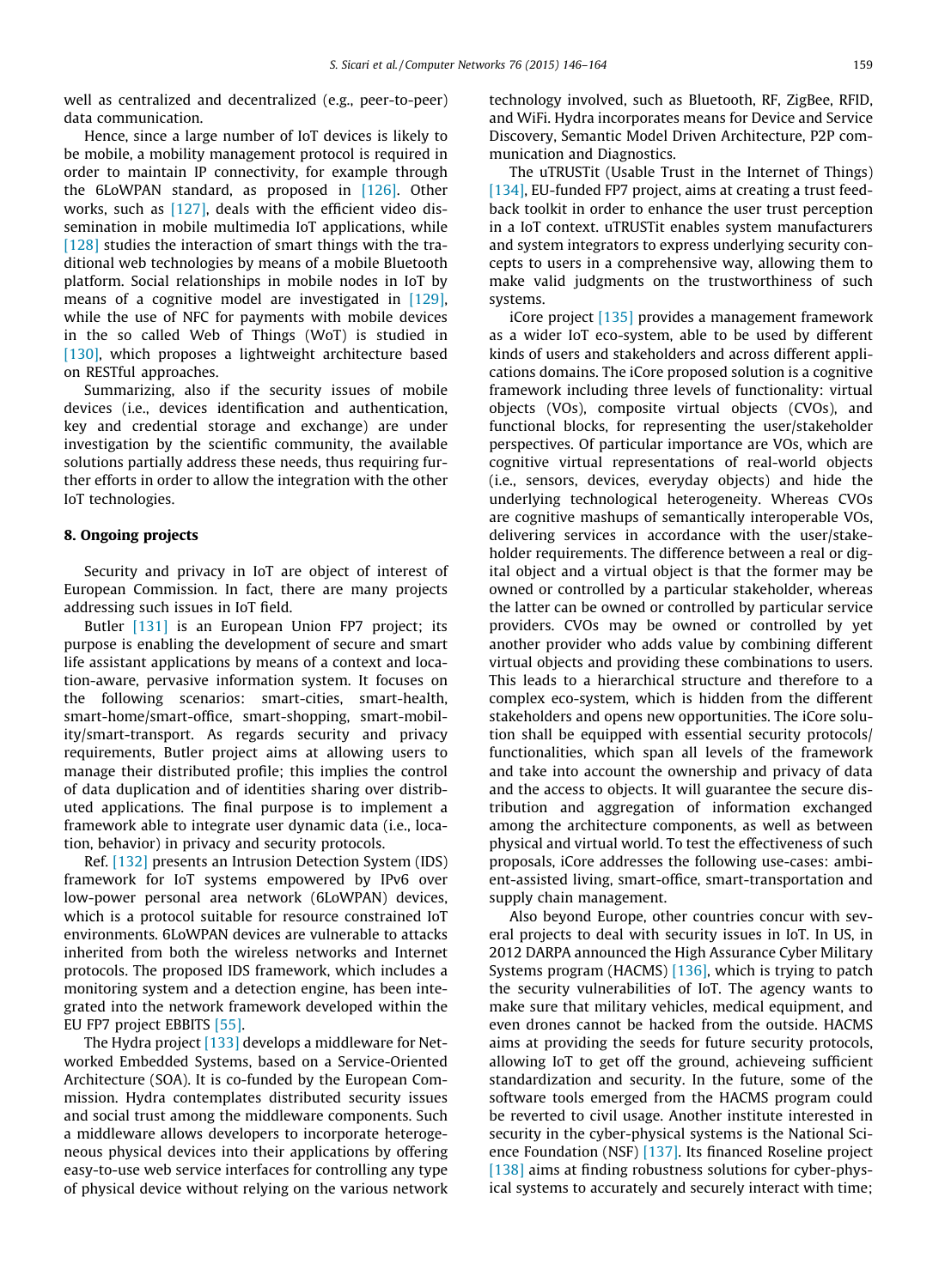<span id="page-13-0"></span>well as centralized and decentralized (e.g., peer-to-peer) data communication.

Hence, since a large number of IoT devices is likely to be mobile, a mobility management protocol is required in order to maintain IP connectivity, for example through the 6LoWPAN standard, as proposed in [\[126\].](#page-17-0) Other works, such as [\[127\],](#page-17-0) deals with the efficient video dissemination in mobile multimedia IoT applications, while [\[128\]](#page-17-0) studies the interaction of smart things with the traditional web technologies by means of a mobile Bluetooth platform. Social relationships in mobile nodes in IoT by means of a cognitive model are investigated in [\[129\]](#page-17-0), while the use of NFC for payments with mobile devices in the so called Web of Things (WoT) is studied in [\[130\]](#page-17-0), which proposes a lightweight architecture based on RESTful approaches.

Summarizing, also if the security issues of mobile devices (i.e., devices identification and authentication, key and credential storage and exchange) are under investigation by the scientific community, the available solutions partially address these needs, thus requiring further efforts in order to allow the integration with the other IoT technologies.

#### 8. Ongoing projects

Security and privacy in IoT are object of interest of European Commission. In fact, there are many projects addressing such issues in IoT field.

Butler [\[131\]](#page-17-0) is an European Union FP7 project; its purpose is enabling the development of secure and smart life assistant applications by means of a context and location-aware, pervasive information system. It focuses on the following scenarios: smart-cities, smart-health, smart-home/smart-office, smart-shopping, smart-mobility/smart-transport. As regards security and privacy requirements, Butler project aims at allowing users to manage their distributed profile; this implies the control of data duplication and of identities sharing over distributed applications. The final purpose is to implement a framework able to integrate user dynamic data (i.e., location, behavior) in privacy and security protocols.

Ref. [\[132\]](#page-17-0) presents an Intrusion Detection System (IDS) framework for IoT systems empowered by IPv6 over low-power personal area network (6LoWPAN) devices, which is a protocol suitable for resource constrained IoT environments. 6LoWPAN devices are vulnerable to attacks inherited from both the wireless networks and Internet protocols. The proposed IDS framework, which includes a monitoring system and a detection engine, has been integrated into the network framework developed within the EU FP7 project EBBITS [\[55\]](#page-16-0).

The Hydra project  $[133]$  develops a middleware for Networked Embedded Systems, based on a Service-Oriented Architecture (SOA). It is co-funded by the European Commission. Hydra contemplates distributed security issues and social trust among the middleware components. Such a middleware allows developers to incorporate heterogeneous physical devices into their applications by offering easy-to-use web service interfaces for controlling any type of physical device without relying on the various network technology involved, such as Bluetooth, RF, ZigBee, RFID, and WiFi. Hydra incorporates means for Device and Service Discovery, Semantic Model Driven Architecture, P2P communication and Diagnostics.

The uTRUSTit (Usable Trust in the Internet of Things) [\[134\]](#page-17-0), EU-funded FP7 project, aims at creating a trust feedback toolkit in order to enhance the user trust perception in a IoT context. uTRUSTit enables system manufacturers and system integrators to express underlying security concepts to users in a comprehensive way, allowing them to make valid judgments on the trustworthiness of such systems.

iCore project [\[135\]](#page-17-0) provides a management framework as a wider IoT eco-system, able to be used by different kinds of users and stakeholders and across different applications domains. The iCore proposed solution is a cognitive framework including three levels of functionality: virtual objects (VOs), composite virtual objects (CVOs), and functional blocks, for representing the user/stakeholder perspectives. Of particular importance are VOs, which are cognitive virtual representations of real-world objects (i.e., sensors, devices, everyday objects) and hide the underlying technological heterogeneity. Whereas CVOs are cognitive mashups of semantically interoperable VOs, delivering services in accordance with the user/stakeholder requirements. The difference between a real or digital object and a virtual object is that the former may be owned or controlled by a particular stakeholder, whereas the latter can be owned or controlled by particular service providers. CVOs may be owned or controlled by yet another provider who adds value by combining different virtual objects and providing these combinations to users. This leads to a hierarchical structure and therefore to a complex eco-system, which is hidden from the different stakeholders and opens new opportunities. The iCore solution shall be equipped with essential security protocols/ functionalities, which span all levels of the framework and take into account the ownership and privacy of data and the access to objects. It will guarantee the secure distribution and aggregation of information exchanged among the architecture components, as well as between physical and virtual world. To test the effectiveness of such proposals, iCore addresses the following use-cases: ambient-assisted living, smart-office, smart-transportation and supply chain management.

Also beyond Europe, other countries concur with several projects to deal with security issues in IoT. In US, in 2012 DARPA announced the High Assurance Cyber Military Systems program (HACMS) [\[136\],](#page-17-0) which is trying to patch the security vulnerabilities of IoT. The agency wants to make sure that military vehicles, medical equipment, and even drones cannot be hacked from the outside. HACMS aims at providing the seeds for future security protocols, allowing IoT to get off the ground, achieveing sufficient standardization and security. In the future, some of the software tools emerged from the HACMS program could be reverted to civil usage. Another institute interested in security in the cyber-physical systems is the National Science Foundation (NSF) [\[137\].](#page-17-0) Its financed Roseline project [\[138\]](#page-17-0) aims at finding robustness solutions for cyber-physical systems to accurately and securely interact with time;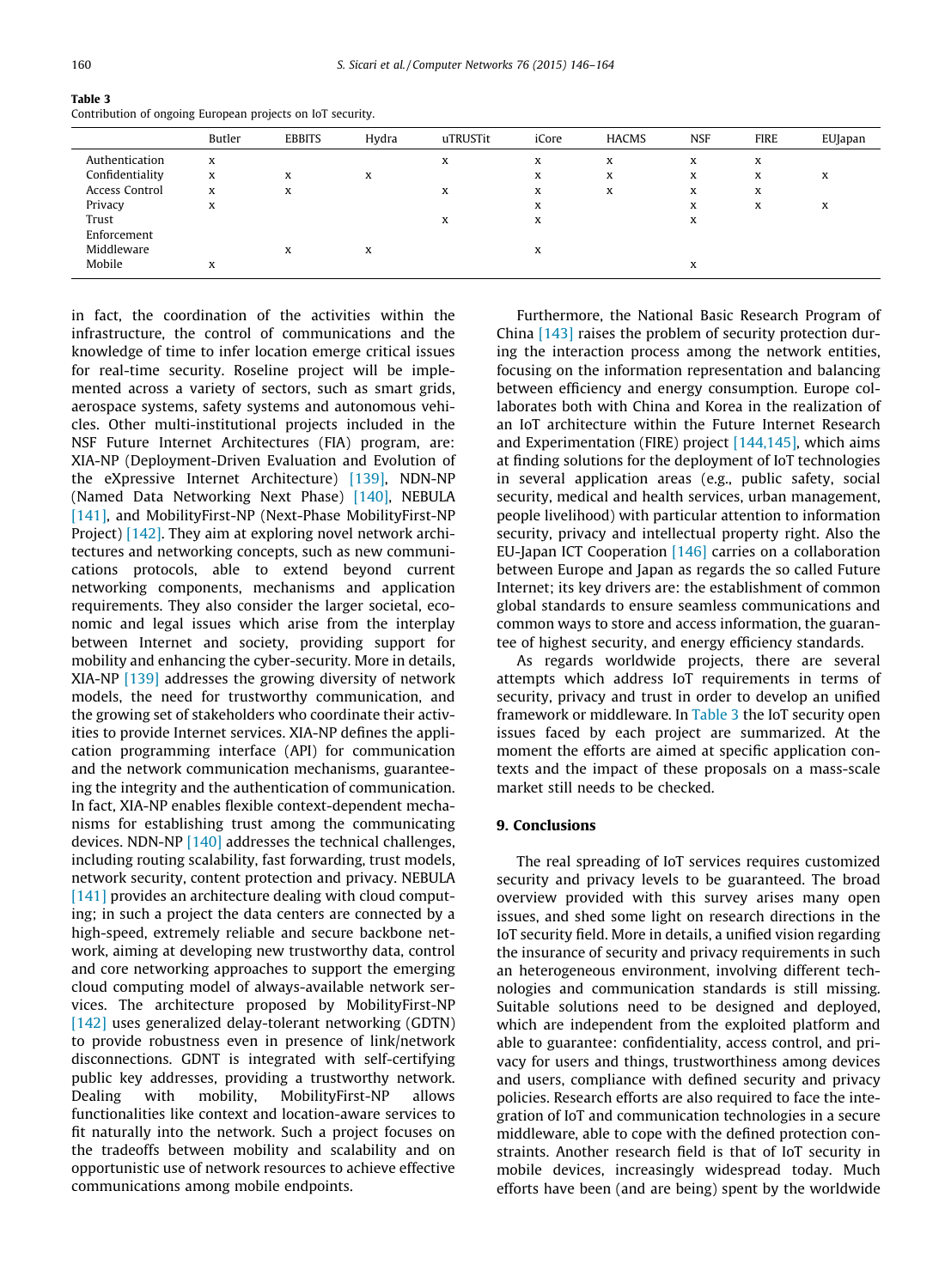#### <span id="page-14-0"></span>Table 3 Contribution of ongoing European projects on IoT security.

|                 | Butler | <b>EBBITS</b> | Hydra | uTRUSTit | iCore | <b>HACMS</b> | <b>NSF</b>        | <b>FIRE</b> | EUJapan |
|-----------------|--------|---------------|-------|----------|-------|--------------|-------------------|-------------|---------|
| Authentication  | X      |               |       | x        | X     | x            | x                 | x           |         |
| Confidentiality | x      | x             | x     |          | x     | x            | x                 | x           | x       |
| Access Control  | X      | X             |       | X        | x     | X            | x                 | x           |         |
| Privacy         | x      |               |       |          | х     |              | x                 | x           | x       |
| Trust           |        |               |       | x        | x     |              | $\mathbf{v}$<br>A |             |         |
| Enforcement     |        |               |       |          |       |              |                   |             |         |
| Middleware      |        | x             | x     |          | X     |              |                   |             |         |
| Mobile          | x      |               |       |          |       |              | x                 |             |         |

in fact, the coordination of the activities within the infrastructure, the control of communications and the knowledge of time to infer location emerge critical issues for real-time security. Roseline project will be implemented across a variety of sectors, such as smart grids, aerospace systems, safety systems and autonomous vehicles. Other multi-institutional projects included in the NSF Future Internet Architectures (FIA) program, are: XIA-NP (Deployment-Driven Evaluation and Evolution of the eXpressive Internet Architecture) [\[139\],](#page-17-0) NDN-NP (Named Data Networking Next Phase) [\[140\],](#page-17-0) NEBULA [\[141\]](#page-17-0), and MobilityFirst-NP (Next-Phase MobilityFirst-NP Project) [\[142\]](#page-17-0). They aim at exploring novel network architectures and networking concepts, such as new communications protocols, able to extend beyond current networking components, mechanisms and application requirements. They also consider the larger societal, economic and legal issues which arise from the interplay between Internet and society, providing support for mobility and enhancing the cyber-security. More in details, XIA-NP [\[139\]](#page-17-0) addresses the growing diversity of network models, the need for trustworthy communication, and the growing set of stakeholders who coordinate their activities to provide Internet services. XIA-NP defines the application programming interface (API) for communication and the network communication mechanisms, guaranteeing the integrity and the authentication of communication. In fact, XIA-NP enables flexible context-dependent mechanisms for establishing trust among the communicating devices. NDN-NP [\[140\]](#page-17-0) addresses the technical challenges, including routing scalability, fast forwarding, trust models, network security, content protection and privacy. NEBULA [\[141\]](#page-17-0) provides an architecture dealing with cloud computing; in such a project the data centers are connected by a high-speed, extremely reliable and secure backbone network, aiming at developing new trustworthy data, control and core networking approaches to support the emerging cloud computing model of always-available network services. The architecture proposed by MobilityFirst-NP [\[142\]](#page-17-0) uses generalized delay-tolerant networking (GDTN) to provide robustness even in presence of link/network disconnections. GDNT is integrated with self-certifying public key addresses, providing a trustworthy network. Dealing with mobility, MobilityFirst-NP allows functionalities like context and location-aware services to fit naturally into the network. Such a project focuses on the tradeoffs between mobility and scalability and on opportunistic use of network resources to achieve effective communications among mobile endpoints.

Furthermore, the National Basic Research Program of China [\[143\]](#page-17-0) raises the problem of security protection during the interaction process among the network entities, focusing on the information representation and balancing between efficiency and energy consumption. Europe collaborates both with China and Korea in the realization of an IoT architecture within the Future Internet Research and Experimentation (FIRE) project [\[144,145\]](#page-17-0), which aims at finding solutions for the deployment of IoT technologies in several application areas (e.g., public safety, social security, medical and health services, urban management, people livelihood) with particular attention to information security, privacy and intellectual property right. Also the EU-Japan ICT Cooperation  $[146]$  carries on a collaboration between Europe and Japan as regards the so called Future Internet; its key drivers are: the establishment of common global standards to ensure seamless communications and common ways to store and access information, the guarantee of highest security, and energy efficiency standards.

As regards worldwide projects, there are several attempts which address IoT requirements in terms of security, privacy and trust in order to develop an unified framework or middleware. In Table 3 the IoT security open issues faced by each project are summarized. At the moment the efforts are aimed at specific application contexts and the impact of these proposals on a mass-scale market still needs to be checked.

#### 9. Conclusions

The real spreading of IoT services requires customized security and privacy levels to be guaranteed. The broad overview provided with this survey arises many open issues, and shed some light on research directions in the IoT security field. More in details, a unified vision regarding the insurance of security and privacy requirements in such an heterogeneous environment, involving different technologies and communication standards is still missing. Suitable solutions need to be designed and deployed, which are independent from the exploited platform and able to guarantee: confidentiality, access control, and privacy for users and things, trustworthiness among devices and users, compliance with defined security and privacy policies. Research efforts are also required to face the integration of IoT and communication technologies in a secure middleware, able to cope with the defined protection constraints. Another research field is that of IoT security in mobile devices, increasingly widespread today. Much efforts have been (and are being) spent by the worldwide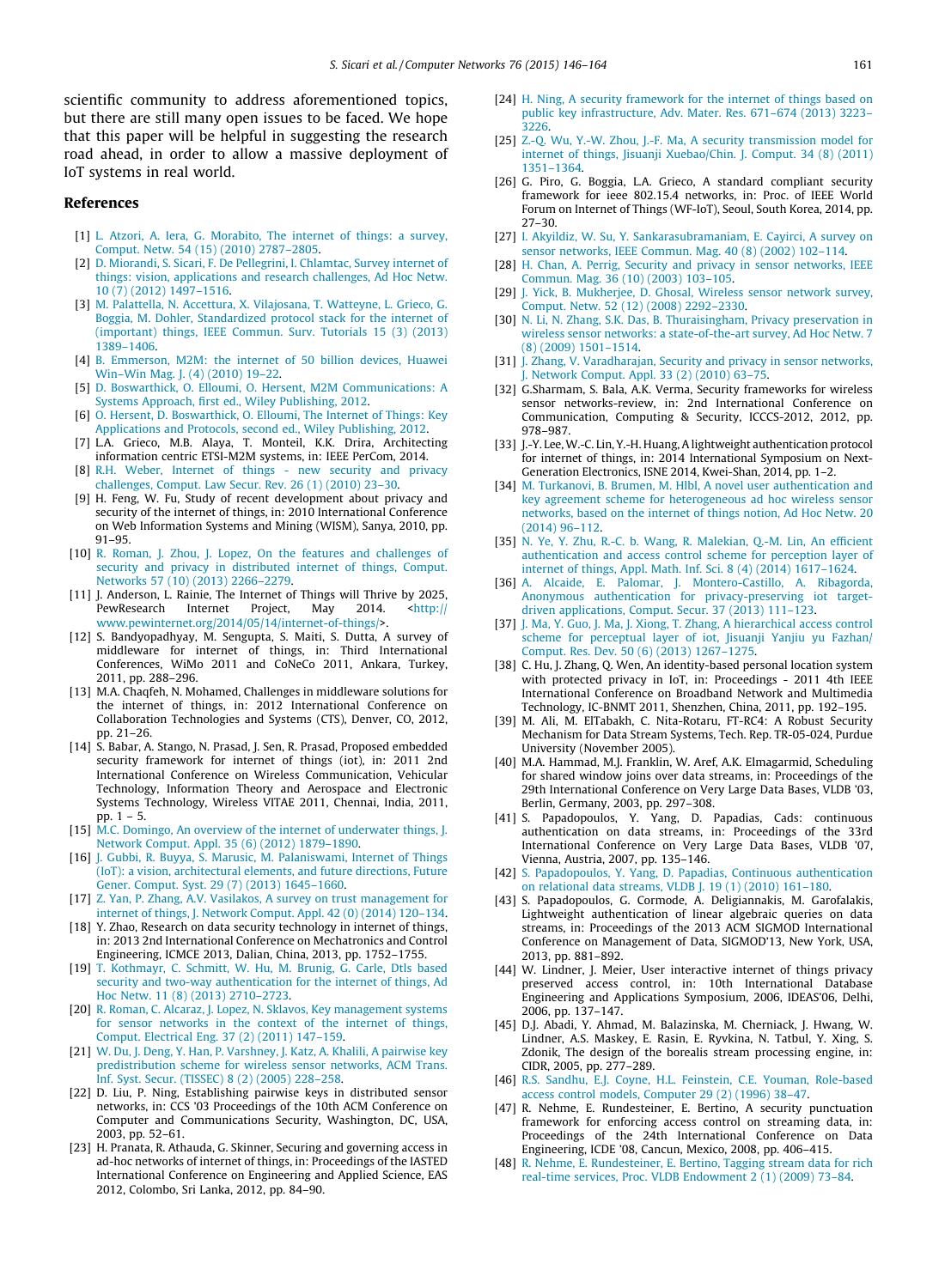<span id="page-15-0"></span>scientific community to address aforementioned topics, but there are still many open issues to be faced. We hope that this paper will be helpful in suggesting the research road ahead, in order to allow a massive deployment of IoT systems in real world.

#### References

- [1] [L. Atzori, A. Iera, G. Morabito, The internet of things: a survey,](http://refhub.elsevier.com/S1389-1286(14)00397-1/h0005) [Comput. Netw. 54 \(15\) \(2010\) 2787–2805](http://refhub.elsevier.com/S1389-1286(14)00397-1/h0005).
- [2] [D. Miorandi, S. Sicari, F. De Pellegrini, I. Chlamtac, Survey internet of](http://refhub.elsevier.com/S1389-1286(14)00397-1/h0010) [things: vision, applications and research challenges, Ad Hoc Netw.](http://refhub.elsevier.com/S1389-1286(14)00397-1/h0010) [10 \(7\) \(2012\) 1497–1516.](http://refhub.elsevier.com/S1389-1286(14)00397-1/h0010)
- [3] [M. Palattella, N. Accettura, X. Vilajosana, T. Watteyne, L. Grieco, G.](http://refhub.elsevier.com/S1389-1286(14)00397-1/h0015) [Boggia, M. Dohler, Standardized protocol stack for the internet of](http://refhub.elsevier.com/S1389-1286(14)00397-1/h0015) [\(important\) things, IEEE Commun. Surv. Tutorials 15 \(3\) \(2013\)](http://refhub.elsevier.com/S1389-1286(14)00397-1/h0015) [1389–1406](http://refhub.elsevier.com/S1389-1286(14)00397-1/h0015).
- [4] [B. Emmerson, M2M: the internet of 50 billion devices, Huawei](http://refhub.elsevier.com/S1389-1286(14)00397-1/h0020) [Win–Win Mag. J. \(4\) \(2010\) 19–22.](http://refhub.elsevier.com/S1389-1286(14)00397-1/h0020)
- [5] [D. Boswarthick, O. Elloumi, O. Hersent, M2M Communications: A](http://refhub.elsevier.com/S1389-1286(14)00397-1/h0025) [Systems Approach, first ed., Wiley Publishing, 2012.](http://refhub.elsevier.com/S1389-1286(14)00397-1/h0025)
- [6] [O. Hersent, D. Boswarthick, O. Elloumi, The Internet of Things: Key](http://refhub.elsevier.com/S1389-1286(14)00397-1/h0030) [Applications and Protocols, second ed., Wiley Publishing, 2012.](http://refhub.elsevier.com/S1389-1286(14)00397-1/h0030)
- [7] L.A. Grieco, M.B. Alaya, T. Monteil, K.K. Drira, Architecting information centric ETSI-M2M systems, in: IEEE PerCom, 2014.
- [8] [R.H. Weber, Internet of things new security and privacy](http://refhub.elsevier.com/S1389-1286(14)00397-1/h0040) [challenges, Comput. Law Secur. Rev. 26 \(1\) \(2010\) 23–30.](http://refhub.elsevier.com/S1389-1286(14)00397-1/h0040)
- [9] H. Feng, W. Fu, Study of recent development about privacy and security of the internet of things, in: 2010 International Conference on Web Information Systems and Mining (WISM), Sanya, 2010, pp. 91–95.
- [10] [R. Roman, J. Zhou, J. Lopez, On the features and challenges of](http://refhub.elsevier.com/S1389-1286(14)00397-1/h0050) [security and privacy in distributed internet of things, Comput.](http://refhub.elsevier.com/S1389-1286(14)00397-1/h0050) [Networks 57 \(10\) \(2013\) 2266–2279.](http://refhub.elsevier.com/S1389-1286(14)00397-1/h0050)
- [11] J. Anderson, L. Rainie, The Internet of Things will Thrive by 2025,<br>PewResearch Internet Project, May 2014. <http:// .<br>PewResearch [www.pewinternet.org/2014/05/14/internet-of-things/>](http://www.pewinternet.org/2014/05/14/internet-of-things/).
- [12] S. Bandyopadhyay, M. Sengupta, S. Maiti, S. Dutta, A survey of middleware for internet of things, in: Third International Conferences, WiMo 2011 and CoNeCo 2011, Ankara, Turkey, 2011, pp. 288–296.
- [13] M.A. Chaqfeh, N. Mohamed, Challenges in middleware solutions for the internet of things, in: 2012 International Conference on Collaboration Technologies and Systems (CTS), Denver, CO, 2012, pp. 21–26.
- [14] S. Babar, A. Stango, N. Prasad, J. Sen, R. Prasad, Proposed embedded security framework for internet of things (iot), in: 2011 2nd International Conference on Wireless Communication, Vehicular Technology, Information Theory and Aerospace and Electronic Systems Technology, Wireless VITAE 2011, Chennai, India, 2011, pp. 1 – 5.
- [15] [M.C. Domingo, An overview of the internet of underwater things, J.](http://refhub.elsevier.com/S1389-1286(14)00397-1/h0075) [Network Comput. Appl. 35 \(6\) \(2012\) 1879–1890](http://refhub.elsevier.com/S1389-1286(14)00397-1/h0075).
- [16] [J. Gubbi, R. Buyya, S. Marusic, M. Palaniswami, Internet of Things](http://refhub.elsevier.com/S1389-1286(14)00397-1/h0080) [\(IoT\): a vision, architectural elements, and future directions, Future](http://refhub.elsevier.com/S1389-1286(14)00397-1/h0080) [Gener. Comput. Syst. 29 \(7\) \(2013\) 1645–1660](http://refhub.elsevier.com/S1389-1286(14)00397-1/h0080).
- [17] [Z. Yan, P. Zhang, A.V. Vasilakos, A survey on trust management for](http://refhub.elsevier.com/S1389-1286(14)00397-1/h0085) [internet of things, J. Network Comput. Appl. 42 \(0\) \(2014\) 120–134](http://refhub.elsevier.com/S1389-1286(14)00397-1/h0085).
- [18] Y. Zhao, Research on data security technology in internet of things, in: 2013 2nd International Conference on Mechatronics and Control Engineering, ICMCE 2013, Dalian, China, 2013, pp. 1752–1755.
- [19] [T. Kothmayr, C. Schmitt, W. Hu, M. Brunig, G. Carle, Dtls based](http://refhub.elsevier.com/S1389-1286(14)00397-1/h0095) [security and two-way authentication for the internet of things, Ad](http://refhub.elsevier.com/S1389-1286(14)00397-1/h0095) [Hoc Netw. 11 \(8\) \(2013\) 2710–2723](http://refhub.elsevier.com/S1389-1286(14)00397-1/h0095).
- [20] [R. Roman, C. Alcaraz, J. Lopez, N. Sklavos, Key management systems](http://refhub.elsevier.com/S1389-1286(14)00397-1/h0100) [for sensor networks in the context of the internet of things,](http://refhub.elsevier.com/S1389-1286(14)00397-1/h0100) [Comput. Electrical Eng. 37 \(2\) \(2011\) 147–159.](http://refhub.elsevier.com/S1389-1286(14)00397-1/h0100)
- [21] [W. Du, J. Deng, Y. Han, P. Varshney, J. Katz, A. Khalili, A pairwise key](http://refhub.elsevier.com/S1389-1286(14)00397-1/h0105) [predistribution scheme for wireless sensor networks, ACM Trans.](http://refhub.elsevier.com/S1389-1286(14)00397-1/h0105) [Inf. Syst. Secur. \(TISSEC\) 8 \(2\) \(2005\) 228–258.](http://refhub.elsevier.com/S1389-1286(14)00397-1/h0105)
- [22] D. Liu, P. Ning, Establishing pairwise keys in distributed sensor networks, in: CCS '03 Proceedings of the 10th ACM Conference on Computer and Communications Security, Washington, DC, USA, 2003, pp. 52–61.
- [23] H. Pranata, R. Athauda, G. Skinner, Securing and governing access in ad-hoc networks of internet of things, in: Proceedings of the IASTED International Conference on Engineering and Applied Science, EAS 2012, Colombo, Sri Lanka, 2012, pp. 84–90.
- [24] [H. Ning, A security framework for the internet of things based on](http://refhub.elsevier.com/S1389-1286(14)00397-1/h0120) [public key infrastructure, Adv. Mater. Res. 671–674 \(2013\) 3223–](http://refhub.elsevier.com/S1389-1286(14)00397-1/h0120) [3226](http://refhub.elsevier.com/S1389-1286(14)00397-1/h0120).
- [25] [Z.-Q. Wu, Y.-W. Zhou, J.-F. Ma, A security transmission model for](http://refhub.elsevier.com/S1389-1286(14)00397-1/h0125) [internet of things, Jisuanji Xuebao/Chin. J. Comput. 34 \(8\) \(2011\)](http://refhub.elsevier.com/S1389-1286(14)00397-1/h0125) [1351–1364](http://refhub.elsevier.com/S1389-1286(14)00397-1/h0125).
- [26] G. Piro, G. Boggia, L.A. Grieco, A standard compliant security framework for ieee 802.15.4 networks, in: Proc. of IEEE World Forum on Internet of Things (WF-IoT), Seoul, South Korea, 2014, pp. 27–30.
- [27] [I. Akyildiz, W. Su, Y. Sankarasubramaniam, E. Cayirci, A survey on](http://refhub.elsevier.com/S1389-1286(14)00397-1/h0135) [sensor networks, IEEE Commun. Mag. 40 \(8\) \(2002\) 102–114.](http://refhub.elsevier.com/S1389-1286(14)00397-1/h0135)
- [28] [H. Chan, A. Perrig, Security and privacy in sensor networks, IEEE](http://refhub.elsevier.com/S1389-1286(14)00397-1/h0140) [Commun. Mag. 36 \(10\) \(2003\) 103–105.](http://refhub.elsevier.com/S1389-1286(14)00397-1/h0140)
- [29] [J. Yick, B. Mukherjee, D. Ghosal, Wireless sensor network survey,](http://refhub.elsevier.com/S1389-1286(14)00397-1/h0145) [Comput. Netw. 52 \(12\) \(2008\) 2292–2330](http://refhub.elsevier.com/S1389-1286(14)00397-1/h0145).
- [30] [N. Li, N. Zhang, S.K. Das, B. Thuraisingham, Privacy preservation in](http://refhub.elsevier.com/S1389-1286(14)00397-1/h0150) [wireless sensor networks: a state-of-the-art survey, Ad Hoc Netw. 7](http://refhub.elsevier.com/S1389-1286(14)00397-1/h0150) [\(8\) \(2009\) 1501–1514.](http://refhub.elsevier.com/S1389-1286(14)00397-1/h0150)
- [31] [J. Zhang, V. Varadharajan, Security and privacy in sensor networks,](http://refhub.elsevier.com/S1389-1286(14)00397-1/h0155) [J. Network Comput. Appl. 33 \(2\) \(2010\) 63–75.](http://refhub.elsevier.com/S1389-1286(14)00397-1/h0155)
- [32] G.Sharmam, S. Bala, A.K. Verma, Security frameworks for wireless sensor networks-review, in: 2nd International Conference on Communication, Computing & Security, ICCCS-2012, 2012, pp. 978–987.
- [33] J.-Y. Lee, W.-C. Lin, Y.-H. Huang, A lightweight authentication protocol for internet of things, in: 2014 International Symposium on Next-Generation Electronics, ISNE 2014, Kwei-Shan, 2014, pp. 1–2.
- [34] [M. Turkanovi, B. Brumen, M. Hlbl, A novel user authentication and](http://refhub.elsevier.com/S1389-1286(14)00397-1/h0170) [key agreement scheme for heterogeneous ad hoc wireless sensor](http://refhub.elsevier.com/S1389-1286(14)00397-1/h0170) [networks, based on the internet of things notion, Ad Hoc Netw. 20](http://refhub.elsevier.com/S1389-1286(14)00397-1/h0170) [\(2014\) 96–112.](http://refhub.elsevier.com/S1389-1286(14)00397-1/h0170)
- [35] [N. Ye, Y. Zhu, R.-C. b. Wang, R. Malekian, Q.-M. Lin, An efficient](http://refhub.elsevier.com/S1389-1286(14)00397-1/h0175) [authentication and access control scheme for perception layer of](http://refhub.elsevier.com/S1389-1286(14)00397-1/h0175) [internet of things, Appl. Math. Inf. Sci. 8 \(4\) \(2014\) 1617–1624](http://refhub.elsevier.com/S1389-1286(14)00397-1/h0175).
- [36] [A. Alcaide, E. Palomar, J. Montero-Castillo, A. Ribagorda,](http://refhub.elsevier.com/S1389-1286(14)00397-1/h0180) [Anonymous authentication for privacy-preserving iot target](http://refhub.elsevier.com/S1389-1286(14)00397-1/h0180)driven applications, Comput. Secur. 37 (2013) 111-123.
- [37] [J. Ma, Y. Guo, J. Ma, J. Xiong, T. Zhang, A hierarchical access control](http://refhub.elsevier.com/S1389-1286(14)00397-1/h0185) [scheme for perceptual layer of iot, Jisuanji Yanjiu yu Fazhan/](http://refhub.elsevier.com/S1389-1286(14)00397-1/h0185) [Comput. Res. Dev. 50 \(6\) \(2013\) 1267–1275.](http://refhub.elsevier.com/S1389-1286(14)00397-1/h0185)
- [38] C. Hu, J. Zhang, Q. Wen, An identity-based personal location system with protected privacy in IoT, in: Proceedings - 2011 4th IEEE International Conference on Broadband Network and Multimedia Technology, IC-BNMT 2011, Shenzhen, China, 2011, pp. 192–195.
- [39] M. Ali, M. ElTabakh, C. Nita-Rotaru, FT-RC4: A Robust Security Mechanism for Data Stream Systems, Tech. Rep. TR-05-024, Purdue University (November 2005).
- [40] M.A. Hammad, M.J. Franklin, W. Aref, A.K. Elmagarmid, Scheduling for shared window joins over data streams, in: Proceedings of the 29th International Conference on Very Large Data Bases, VLDB '03, Berlin, Germany, 2003, pp. 297–308.
- [41] S. Papadopoulos, Y. Yang, D. Papadias, Cads: continuous authentication on data streams, in: Proceedings of the 33rd International Conference on Very Large Data Bases, VLDB '07, Vienna, Austria, 2007, pp. 135–146.
- [42] [S. Papadopoulos, Y. Yang, D. Papadias, Continuous authentication](http://refhub.elsevier.com/S1389-1286(14)00397-1/h0210) [on relational data streams, VLDB J. 19 \(1\) \(2010\) 161–180.](http://refhub.elsevier.com/S1389-1286(14)00397-1/h0210)
- [43] S. Papadopoulos, G. Cormode, A. Deligiannakis, M. Garofalakis, Lightweight authentication of linear algebraic queries on data streams, in: Proceedings of the 2013 ACM SIGMOD International Conference on Management of Data, SIGMOD'13, New York, USA, 2013, pp. 881–892.
- [44] W. Lindner, J. Meier, User interactive internet of things privacy preserved access control, in: 10th International Database Engineering and Applications Symposium, 2006, IDEAS'06, Delhi, 2006, pp. 137–147.
- [45] D.J. Abadi, Y. Ahmad, M. Balazinska, M. Cherniack, J. Hwang, W. Lindner, A.S. Maskey, E. Rasin, E. Ryvkina, N. Tatbul, Y. Xing, S. Zdonik, The design of the borealis stream processing engine, in: CIDR, 2005, pp. 277–289.
- [46] [R.S. Sandhu, E.J. Coyne, H.L. Feinstein, C.E. Youman, Role-based](http://refhub.elsevier.com/S1389-1286(14)00397-1/h0230) [access control models, Computer 29 \(2\) \(1996\) 38–47](http://refhub.elsevier.com/S1389-1286(14)00397-1/h0230).
- [47] R. Nehme, E. Rundesteiner, E. Bertino, A security punctuation framework for enforcing access control on streaming data, in: Proceedings of the 24th International Conference on Data Engineering, ICDE '08, Cancun, Mexico, 2008, pp. 406–415.
- [48] [R. Nehme, E. Rundesteiner, E. Bertino, Tagging stream data for rich](http://refhub.elsevier.com/S1389-1286(14)00397-1/h0240) [real-time services, Proc. VLDB Endowment 2 \(1\) \(2009\) 73–84](http://refhub.elsevier.com/S1389-1286(14)00397-1/h0240).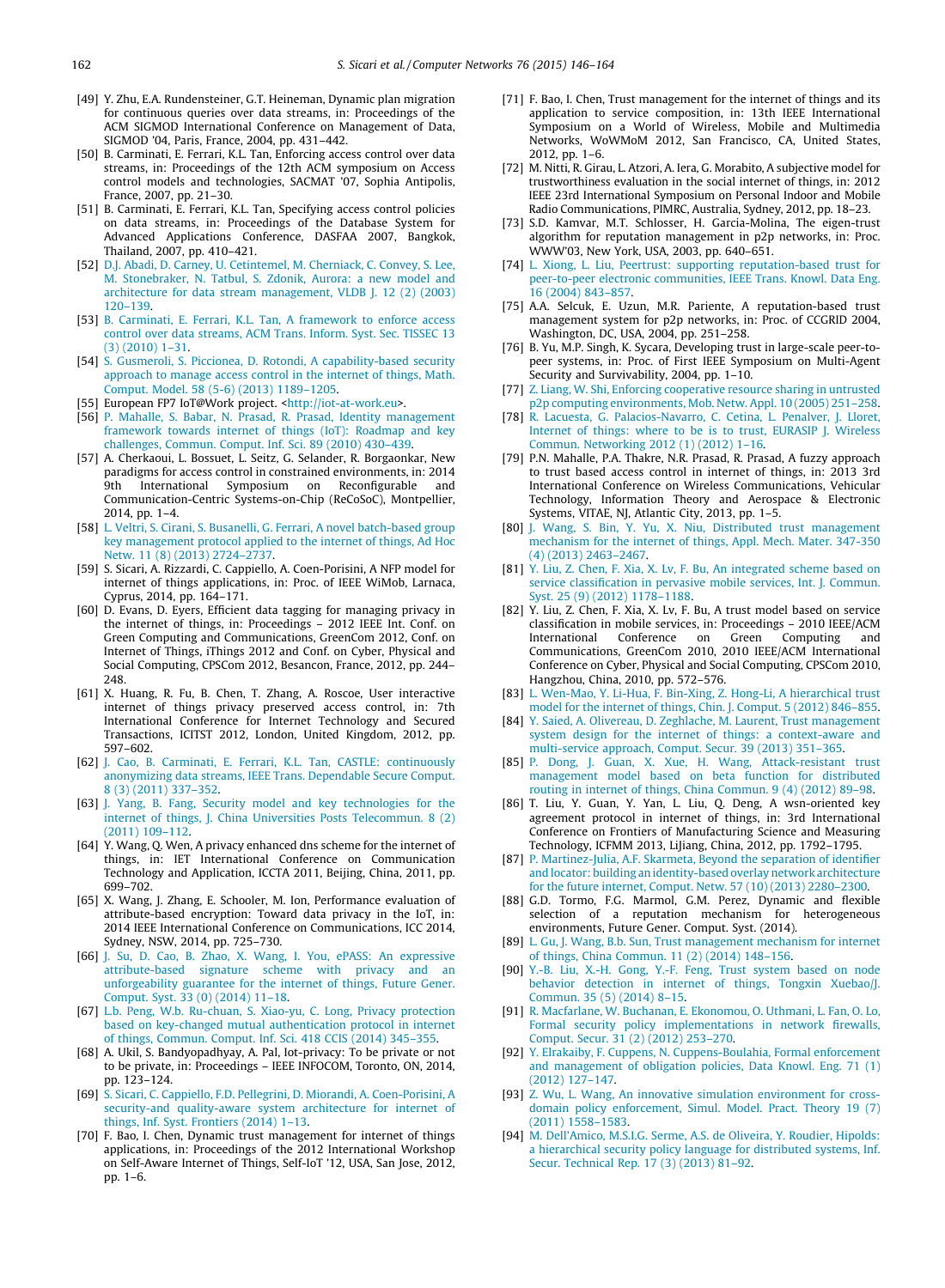- <span id="page-16-0"></span>[49] Y. Zhu, E.A. Rundensteiner, G.T. Heineman, Dynamic plan migration for continuous queries over data streams, in: Proceedings of the ACM SIGMOD International Conference on Management of Data, SIGMOD '04, Paris, France, 2004, pp. 431–442.
- [50] B. Carminati, E. Ferrari, K.L. Tan, Enforcing access control over data streams, in: Proceedings of the 12th ACM symposium on Access control models and technologies, SACMAT '07, Sophia Antipolis, France, 2007, pp. 21–30.
- [51] B. Carminati, E. Ferrari, K.L. Tan, Specifying access control policies on data streams, in: Proceedings of the Database System for Advanced Applications Conference, DASFAA 2007, Bangkok, Thailand, 2007, pp. 410–421.
- [52] [D.J. Abadi, D. Carney, U. Cetintemel, M. Cherniack, C. Convey, S. Lee,](http://refhub.elsevier.com/S1389-1286(14)00397-1/h0260) [M. Stonebraker, N. Tatbul, S. Zdonik, Aurora: a new model and](http://refhub.elsevier.com/S1389-1286(14)00397-1/h0260) [architecture for data stream management, VLDB J. 12 \(2\) \(2003\)](http://refhub.elsevier.com/S1389-1286(14)00397-1/h0260) [120–139.](http://refhub.elsevier.com/S1389-1286(14)00397-1/h0260)
- [53] [B. Carminati, E. Ferrari, K.L. Tan, A framework to enforce access](http://refhub.elsevier.com/S1389-1286(14)00397-1/h0265) [control over data streams, ACM Trans. Inform. Syst. Sec. TISSEC 13](http://refhub.elsevier.com/S1389-1286(14)00397-1/h0265) [\(3\) \(2010\) 1–31](http://refhub.elsevier.com/S1389-1286(14)00397-1/h0265).
- [54] [S. Gusmeroli, S. Piccionea, D. Rotondi, A capability-based security](http://refhub.elsevier.com/S1389-1286(14)00397-1/h0270) [approach to manage access control in the internet of things, Math.](http://refhub.elsevier.com/S1389-1286(14)00397-1/h0270) [Comput. Model. 58 \(5-6\) \(2013\) 1189–1205.](http://refhub.elsevier.com/S1389-1286(14)00397-1/h0270)
- [55] European FP7 IoT@Work project. <<http://iot-at-work.eu>>.
- [56] [P. Mahalle, S. Babar, N. Prasad, R. Prasad, Identity management](http://refhub.elsevier.com/S1389-1286(14)00397-1/h0280) [framework towards internet of things \(IoT\): Roadmap and key](http://refhub.elsevier.com/S1389-1286(14)00397-1/h0280) [challenges, Commun. Comput. Inf. Sci. 89 \(2010\) 430–439.](http://refhub.elsevier.com/S1389-1286(14)00397-1/h0280)
- [57] A. Cherkaoui, L. Bossuet, L. Seitz, G. Selander, R. Borgaonkar, New paradigms for access control in constrained environments, in: 2014 9th International Symposium on Reconfigurable and Communication-Centric Systems-on-Chip (ReCoSoC), Montpellier, 2014, pp. 1–4.
- [58] [L. Veltri, S. Cirani, S. Busanelli, G. Ferrari, A novel batch-based group](http://refhub.elsevier.com/S1389-1286(14)00397-1/h0290) [key management protocol applied to the internet of things, Ad Hoc](http://refhub.elsevier.com/S1389-1286(14)00397-1/h0290) [Netw. 11 \(8\) \(2013\) 2724–2737.](http://refhub.elsevier.com/S1389-1286(14)00397-1/h0290)
- [59] S. Sicari, A. Rizzardi, C. Cappiello, A. Coen-Porisini, A NFP model for internet of things applications, in: Proc. of IEEE WiMob, Larnaca, Cyprus, 2014, pp. 164–171.
- [60] D. Evans, D. Eyers, Efficient data tagging for managing privacy in the internet of things, in: Proceedings 2012 IEEE Int. Conf. on Green Computing and Communications, GreenCom 2012, Conf. on Internet of Things, iThings 2012 and Conf. on Cyber, Physical and Social Computing, CPSCom 2012, Besancon, France, 2012, pp. 244– 248.
- [61] X. Huang, R. Fu, B. Chen, T. Zhang, A. Roscoe, User interactive internet of things privacy preserved access control, in: 7th International Conference for Internet Technology and Secured Transactions, ICITST 2012, London, United Kingdom, 2012, pp. 597–602.
- [62] [J. Cao, B. Carminati, E. Ferrari, K.L. Tan, CASTLE: continuously](http://refhub.elsevier.com/S1389-1286(14)00397-1/h0310) [anonymizing data streams, IEEE Trans. Dependable Secure Comput.](http://refhub.elsevier.com/S1389-1286(14)00397-1/h0310) [8 \(3\) \(2011\) 337–352.](http://refhub.elsevier.com/S1389-1286(14)00397-1/h0310)
- [63] [J. Yang, B. Fang, Security model and key technologies for the](http://refhub.elsevier.com/S1389-1286(14)00397-1/h0315) [internet of things, J. China Universities Posts Telecommun. 8 \(2\)](http://refhub.elsevier.com/S1389-1286(14)00397-1/h0315) [\(2011\) 109–112.](http://refhub.elsevier.com/S1389-1286(14)00397-1/h0315)
- [64] Y. Wang, Q. Wen, A privacy enhanced dns scheme for the internet of things, in: IET International Conference on Communication Technology and Application, ICCTA 2011, Beijing, China, 2011, pp. 699–702.
- [65] X. Wang, J. Zhang, E. Schooler, M. Ion, Performance evaluation of attribute-based encryption: Toward data privacy in the IoT, in: 2014 IEEE International Conference on Communications, ICC 2014, Sydney, NSW, 2014, pp. 725–730.
- [66] [J. Su, D. Cao, B. Zhao, X. Wang, I. You, ePASS: An expressive](http://refhub.elsevier.com/S1389-1286(14)00397-1/h0330) [attribute-based signature scheme with privacy and an](http://refhub.elsevier.com/S1389-1286(14)00397-1/h0330) [unforgeability guarantee for the internet of things, Future Gener.](http://refhub.elsevier.com/S1389-1286(14)00397-1/h0330) [Comput. Syst. 33 \(0\) \(2014\) 11–18](http://refhub.elsevier.com/S1389-1286(14)00397-1/h0330).
- [67] [L.b. Peng, W.b. Ru-chuan, S. Xiao-yu, C. Long, Privacy protection](http://refhub.elsevier.com/S1389-1286(14)00397-1/h0335) [based on key-changed mutual authentication protocol in internet](http://refhub.elsevier.com/S1389-1286(14)00397-1/h0335) [of things, Commun. Comput. Inf. Sci. 418 CCIS \(2014\) 345–355](http://refhub.elsevier.com/S1389-1286(14)00397-1/h0335).
- [68] A. Ukil, S. Bandyopadhyay, A. Pal, Iot-privacy: To be private or not to be private, in: Proceedings – IEEE INFOCOM, Toronto, ON, 2014, pp. 123–124.
- [69] [S. Sicari, C. Cappiello, F.D. Pellegrini, D. Miorandi, A. Coen-Porisini, A](http://refhub.elsevier.com/S1389-1286(14)00397-1/h0735) [security-and quality-aware system architecture for internet of](http://refhub.elsevier.com/S1389-1286(14)00397-1/h0735) [things, Inf. Syst. Frontiers \(2014\) 1–13.](http://refhub.elsevier.com/S1389-1286(14)00397-1/h0735)
- [70] F. Bao, I. Chen, Dynamic trust management for internet of things applications, in: Proceedings of the 2012 International Workshop on Self-Aware Internet of Things, Self-IoT '12, USA, San Jose, 2012, pp. 1–6.
- [71] F. Bao, I. Chen, Trust management for the internet of things and its application to service composition, in: 13th IEEE International Symposium on a World of Wireless, Mobile and Multimedia Networks, WoWMoM 2012, San Francisco, CA, United States, 2012, pp. 1–6.
- [72] M. Nitti, R. Girau, L. Atzori, A. Iera, G. Morabito, A subjective model for trustworthiness evaluation in the social internet of things, in: 2012 IEEE 23rd International Symposium on Personal Indoor and Mobile Radio Communications, PIMRC, Australia, Sydney, 2012, pp. 18–23.
- [73] S.D. Kamvar, M.T. Schlosser, H. Garcia-Molina, The eigen-trust algorithm for reputation management in p2p networks, in: Proc. WWW'03, New York, USA, 2003, pp. 640–651.
- [74] [L. Xiong, L. Liu, Peertrust: supporting reputation-based trust for](http://refhub.elsevier.com/S1389-1286(14)00397-1/h0370) [peer-to-peer electronic communities, IEEE Trans. Knowl. Data Eng.](http://refhub.elsevier.com/S1389-1286(14)00397-1/h0370) [16 \(2004\) 843–857.](http://refhub.elsevier.com/S1389-1286(14)00397-1/h0370)
- [75] A.A. Selcuk, E. Uzun, M.R. Pariente, A reputation-based trust management system for p2p networks, in: Proc. of CCGRID 2004, Washington, DC, USA, 2004, pp. 251–258.
- [76] B. Yu, M.P. Singh, K. Sycara, Developing trust in large-scale peer-topeer systems, in: Proc. of First IEEE Symposium on Multi-Agent Security and Survivability, 2004, pp. 1–10.
- [77] [Z. Liang, W. Shi, Enforcing cooperative resource sharing in untrusted](http://refhub.elsevier.com/S1389-1286(14)00397-1/h0385) [p2p computing environments, Mob. Netw. Appl. 10 \(2005\) 251–258.](http://refhub.elsevier.com/S1389-1286(14)00397-1/h0385)
- [78] [R. Lacuesta, G. Palacios-Navarro, C. Cetina, L. Penalver, J. Lloret,](http://refhub.elsevier.com/S1389-1286(14)00397-1/h0390) [Internet of things: where to be is to trust, EURASIP J. Wireless](http://refhub.elsevier.com/S1389-1286(14)00397-1/h0390) [Commun. Networking 2012 \(1\) \(2012\) 1–16.](http://refhub.elsevier.com/S1389-1286(14)00397-1/h0390)
- [79] P.N. Mahalle, P.A. Thakre, N.R. Prasad, R. Prasad, A fuzzy approach to trust based access control in internet of things, in: 2013 3rd International Conference on Wireless Communications, Vehicular Technology, Information Theory and Aerospace & Electronic Systems, VITAE, NJ, Atlantic City, 2013, pp. 1–5.
- [80] [J. Wang, S. Bin, Y. Yu, X. Niu, Distributed trust management](http://refhub.elsevier.com/S1389-1286(14)00397-1/h0400) [mechanism for the internet of things, Appl. Mech. Mater. 347-350](http://refhub.elsevier.com/S1389-1286(14)00397-1/h0400) [\(4\) \(2013\) 2463–2467](http://refhub.elsevier.com/S1389-1286(14)00397-1/h0400).
- [81] [Y. Liu, Z. Chen, F. Xia, X. Lv, F. Bu, An integrated scheme based on](http://refhub.elsevier.com/S1389-1286(14)00397-1/h0405) [service classification in pervasive mobile services, Int. J. Commun.](http://refhub.elsevier.com/S1389-1286(14)00397-1/h0405) [Syst. 25 \(9\) \(2012\) 1178–1188](http://refhub.elsevier.com/S1389-1286(14)00397-1/h0405).
- [82] Y. Liu, Z. Chen, F. Xia, X. Lv, F. Bu, A trust model based on service classification in mobile services, in: Proceedings – 2010 IEEE/ACM International Conference on Green Computing and Communications, GreenCom 2010, 2010 IEEE/ACM International Conference on Cyber, Physical and Social Computing, CPSCom 2010, Hangzhou, China, 2010, pp. 572–576.
- [83] [L. Wen-Mao, Y. Li-Hua, F. Bin-Xing, Z. Hong-Li, A hierarchical trust](http://refhub.elsevier.com/S1389-1286(14)00397-1/h0415) [model for the internet of things, Chin. J. Comput. 5 \(2012\) 846–855.](http://refhub.elsevier.com/S1389-1286(14)00397-1/h0415)
- [84] [Y. Saied, A. Olivereau, D. Zeghlache, M. Laurent, Trust management](http://refhub.elsevier.com/S1389-1286(14)00397-1/h0420) [system design for the internet of things: a context-aware and](http://refhub.elsevier.com/S1389-1286(14)00397-1/h0420) [multi-service approach, Comput. Secur. 39 \(2013\) 351–365.](http://refhub.elsevier.com/S1389-1286(14)00397-1/h0420)
- [85] [P. Dong, J. Guan, X. Xue, H. Wang, Attack-resistant trust](http://refhub.elsevier.com/S1389-1286(14)00397-1/h0425) [management model based on beta function for distributed](http://refhub.elsevier.com/S1389-1286(14)00397-1/h0425) [routing in internet of things, China Commun. 9 \(4\) \(2012\) 89–98.](http://refhub.elsevier.com/S1389-1286(14)00397-1/h0425)
- [86] T. Liu, Y. Guan, Y. Yan, L. Liu, Q. Deng, A wsn-oriented key agreement protocol in internet of things, in: 3rd International Conference on Frontiers of Manufacturing Science and Measuring Technology, ICFMM 2013, LiJiang, China, 2012, pp. 1792–1795.
- [87] [P. Martinez-Julia, A.F. Skarmeta, Beyond the separation of identifier](http://refhub.elsevier.com/S1389-1286(14)00397-1/h0435) [and locator: building an identity-based overlay network architecture](http://refhub.elsevier.com/S1389-1286(14)00397-1/h0435) [for the future internet, Comput. Netw. 57 \(10\) \(2013\) 2280–2300.](http://refhub.elsevier.com/S1389-1286(14)00397-1/h0435)
- [88] G.D. Tormo, F.G. Marmol, G.M. Perez, Dynamic and flexible selection of a reputation mechanism for heterogeneous environments, Future Gener. Comput. Syst. (2014).
- [89] [L. Gu, J. Wang, B.b. Sun, Trust management mechanism for internet](http://refhub.elsevier.com/S1389-1286(14)00397-1/h0445) [of things, China Commun. 11 \(2\) \(2014\) 148–156.](http://refhub.elsevier.com/S1389-1286(14)00397-1/h0445)
- [90] [Y.-B. Liu, X.-H. Gong, Y.-F. Feng, Trust system based on node](http://refhub.elsevier.com/S1389-1286(14)00397-1/h0450) [behavior detection in internet of things, Tongxin Xuebao/J.](http://refhub.elsevier.com/S1389-1286(14)00397-1/h0450) [Commun. 35 \(5\) \(2014\) 8–15](http://refhub.elsevier.com/S1389-1286(14)00397-1/h0450).
- [91] [R. Macfarlane, W. Buchanan, E. Ekonomou, O. Uthmani, L. Fan, O. Lo,](http://refhub.elsevier.com/S1389-1286(14)00397-1/h0455) [Formal security policy implementations in network firewalls,](http://refhub.elsevier.com/S1389-1286(14)00397-1/h0455) [Comput. Secur. 31 \(2\) \(2012\) 253–270](http://refhub.elsevier.com/S1389-1286(14)00397-1/h0455).
- [92] [Y. Elrakaiby, F. Cuppens, N. Cuppens-Boulahia, Formal enforcement](http://refhub.elsevier.com/S1389-1286(14)00397-1/h0460) [and management of obligation policies, Data Knowl. Eng. 71 \(1\)](http://refhub.elsevier.com/S1389-1286(14)00397-1/h0460) [\(2012\) 127–147.](http://refhub.elsevier.com/S1389-1286(14)00397-1/h0460)
- [93] [Z. Wu, L. Wang, An innovative simulation environment for cross](http://refhub.elsevier.com/S1389-1286(14)00397-1/h0465)[domain policy enforcement, Simul. Model. Pract. Theory 19 \(7\)](http://refhub.elsevier.com/S1389-1286(14)00397-1/h0465) [\(2011\) 1558–1583.](http://refhub.elsevier.com/S1389-1286(14)00397-1/h0465)
- [94] [M. Dell'Amico, M.S.I.G. Serme, A.S. de Oliveira, Y. Roudier, Hipolds:](http://refhub.elsevier.com/S1389-1286(14)00397-1/h0470) [a hierarchical security policy language for distributed systems, Inf.](http://refhub.elsevier.com/S1389-1286(14)00397-1/h0470) [Secur. Technical Rep. 17 \(3\) \(2013\) 81–92.](http://refhub.elsevier.com/S1389-1286(14)00397-1/h0470)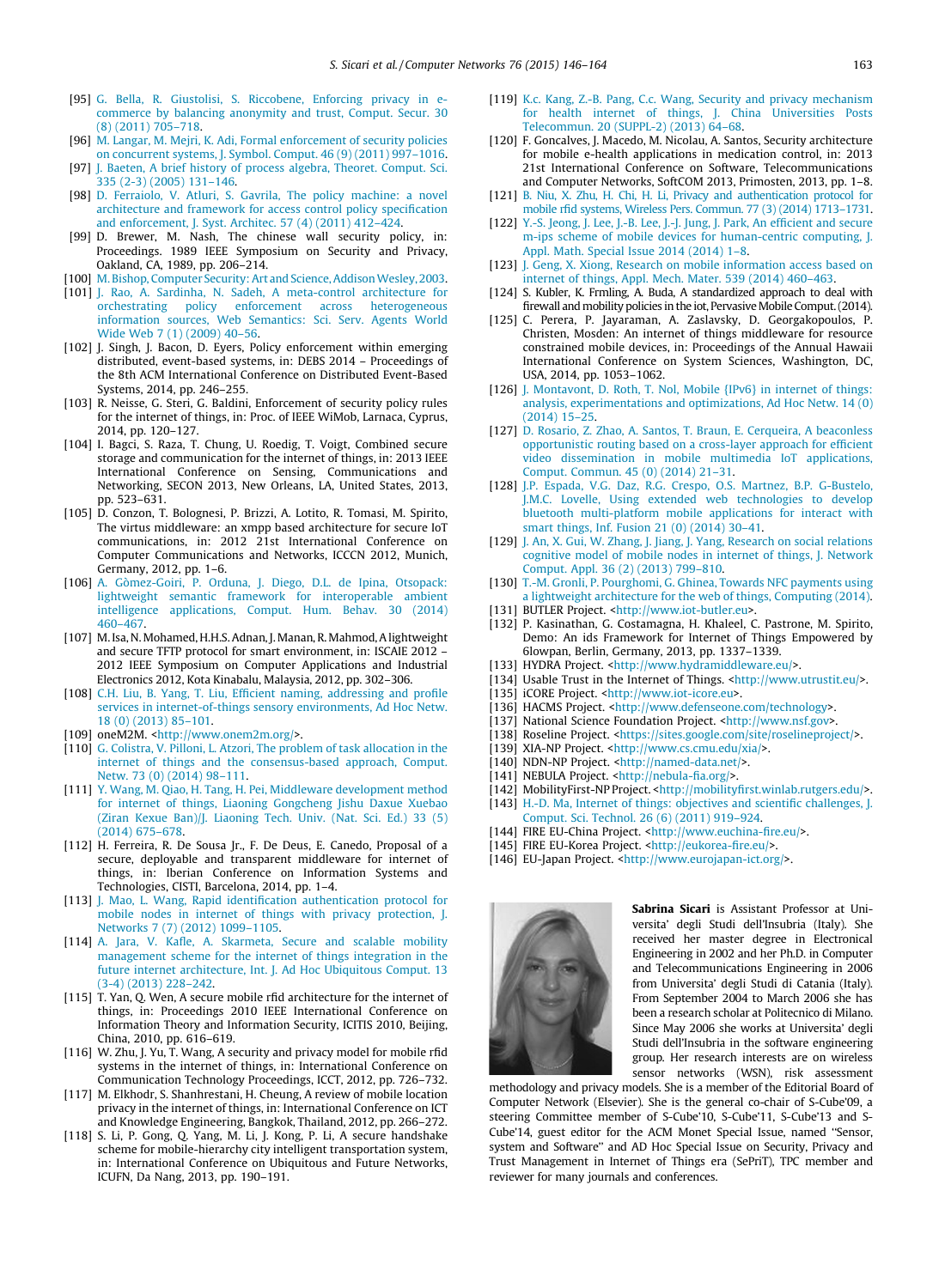- <span id="page-17-0"></span>[95] [G. Bella, R. Giustolisi, S. Riccobene, Enforcing privacy in e](http://refhub.elsevier.com/S1389-1286(14)00397-1/h0475)[commerce by balancing anonymity and trust, Comput. Secur. 30](http://refhub.elsevier.com/S1389-1286(14)00397-1/h0475) [\(8\) \(2011\) 705–718](http://refhub.elsevier.com/S1389-1286(14)00397-1/h0475).
- [96] [M. Langar, M. Mejri, K. Adi, Formal enforcement of security policies](http://refhub.elsevier.com/S1389-1286(14)00397-1/h0480) [on concurrent systems, J. Symbol. Comput. 46 \(9\) \(2011\) 997–1016](http://refhub.elsevier.com/S1389-1286(14)00397-1/h0480).
- [97] [J. Baeten, A brief history of process algebra, Theoret. Comput. Sci.](http://refhub.elsevier.com/S1389-1286(14)00397-1/h0485) [335 \(2-3\) \(2005\) 131–146](http://refhub.elsevier.com/S1389-1286(14)00397-1/h0485).
- [98] [D. Ferraiolo, V. Atluri, S. Gavrila, The policy machine: a novel](http://refhub.elsevier.com/S1389-1286(14)00397-1/h0490) [architecture and framework for access control policy specification](http://refhub.elsevier.com/S1389-1286(14)00397-1/h0490) [and enforcement, J. Syst. Architec. 57 \(4\) \(2011\) 412–424.](http://refhub.elsevier.com/S1389-1286(14)00397-1/h0490)
- [99] D. Brewer, M. Nash, The chinese wall security policy, in: Proceedings. 1989 IEEE Symposium on Security and Privacy, Oakland, CA, 1989, pp. 206–214.
- [100] M. Bishop, Computer Security: Art and Science, Addison Wesley, 2003.
- [101] [J. Rao, A. Sardinha, N. Sadeh, A meta-control architecture for](http://refhub.elsevier.com/S1389-1286(14)00397-1/h0505) [orchestrating policy enforcement across heterogeneous](http://refhub.elsevier.com/S1389-1286(14)00397-1/h0505) [information sources, Web Semantics: Sci. Serv. Agents World](http://refhub.elsevier.com/S1389-1286(14)00397-1/h0505) [Wide Web 7 \(1\) \(2009\) 40–56](http://refhub.elsevier.com/S1389-1286(14)00397-1/h0505).
- [102] J. Singh, J. Bacon, D. Eyers, Policy enforcement within emerging distributed, event-based systems, in: DEBS 2014 – Proceedings of the 8th ACM International Conference on Distributed Event-Based Systems, 2014, pp. 246–255.
- [103] R. Neisse, G. Steri, G. Baldini, Enforcement of security policy rules for the internet of things, in: Proc. of IEEE WiMob, Larnaca, Cyprus, 2014, pp. 120–127.
- [104] I. Bagci, S. Raza, T. Chung, U. Roedig, T. Voigt, Combined secure storage and communication for the internet of things, in: 2013 IEEE International Conference on Sensing, Communications and Networking, SECON 2013, New Orleans, LA, United States, 2013, pp. 523–631.
- [105] D. Conzon, T. Bolognesi, P. Brizzi, A. Lotito, R. Tomasi, M. Spirito, The virtus middleware: an xmpp based architecture for secure IoT communications, in: 2012 21st International Conference on Computer Communications and Networks, ICCCN 2012, Munich, Germany, 2012, pp. 1–6.
- [106] [A. Gòmez-Goiri, P. Orduna, J. Diego, D.L. de Ipina, Otsopack:](http://refhub.elsevier.com/S1389-1286(14)00397-1/h0530) [lightweight semantic framework for interoperable ambient](http://refhub.elsevier.com/S1389-1286(14)00397-1/h0530) [intelligence applications, Comput. Hum. Behav. 30 \(2014\)](http://refhub.elsevier.com/S1389-1286(14)00397-1/h0530) [460–467.](http://refhub.elsevier.com/S1389-1286(14)00397-1/h0530)
- [107] M. Isa, N.Mohamed, H.H.S. Adnan, J.Manan, R.Mahmod, A lightweight and secure TFTP protocol for smart environment, in: ISCAIE 2012 -2012 IEEE Symposium on Computer Applications and Industrial Electronics 2012, Kota Kinabalu, Malaysia, 2012, pp. 302–306.
- [108] [C.H. Liu, B. Yang, T. Liu, Efficient naming, addressing and profile](http://refhub.elsevier.com/S1389-1286(14)00397-1/h0540) [services in internet-of-things sensory environments, Ad Hoc Netw.](http://refhub.elsevier.com/S1389-1286(14)00397-1/h0540) [18 \(0\) \(2013\) 85–101.](http://refhub.elsevier.com/S1389-1286(14)00397-1/h0540)
- [109] oneM2M. <<http://www.onem2m.org/>>.
- [110] [G. Colistra, V. Pilloni, L. Atzori, The problem of task allocation in the](http://refhub.elsevier.com/S1389-1286(14)00397-1/h0550) [internet of things and the consensus-based approach, Comput.](http://refhub.elsevier.com/S1389-1286(14)00397-1/h0550) [Netw. 73 \(0\) \(2014\) 98–111.](http://refhub.elsevier.com/S1389-1286(14)00397-1/h0550)
- [111] [Y. Wang, M. Qiao, H. Tang, H. Pei, Middleware development method](http://refhub.elsevier.com/S1389-1286(14)00397-1/h0555) [for internet of things, Liaoning Gongcheng Jishu Daxue Xuebao](http://refhub.elsevier.com/S1389-1286(14)00397-1/h0555) [\(Ziran Kexue Ban\)/J. Liaoning Tech. Univ. \(Nat. Sci. Ed.\) 33 \(5\)](http://refhub.elsevier.com/S1389-1286(14)00397-1/h0555) [\(2014\) 675–678](http://refhub.elsevier.com/S1389-1286(14)00397-1/h0555).
- [112] H. Ferreira, R. De Sousa Jr., F. De Deus, E. Canedo, Proposal of a secure, deployable and transparent middleware for internet of things, in: Iberian Conference on Information Systems and Technologies, CISTI, Barcelona, 2014, pp. 1–4.
- [113] [J. Mao, L. Wang, Rapid identification authentication protocol for](http://refhub.elsevier.com/S1389-1286(14)00397-1/h0565) [mobile nodes in internet of things with privacy protection, J.](http://refhub.elsevier.com/S1389-1286(14)00397-1/h0565) [Networks 7 \(7\) \(2012\) 1099–1105.](http://refhub.elsevier.com/S1389-1286(14)00397-1/h0565)
- [114] [A. Jara, V. Kafle, A. Skarmeta, Secure and scalable mobility](http://refhub.elsevier.com/S1389-1286(14)00397-1/h0570) [management scheme for the internet of things integration in the](http://refhub.elsevier.com/S1389-1286(14)00397-1/h0570) [future internet architecture, Int. J. Ad Hoc Ubiquitous Comput. 13](http://refhub.elsevier.com/S1389-1286(14)00397-1/h0570) [\(3-4\) \(2013\) 228–242](http://refhub.elsevier.com/S1389-1286(14)00397-1/h0570).
- [115] T. Yan, Q. Wen, A secure mobile rfid architecture for the internet of things, in: Proceedings 2010 IEEE International Conference on Information Theory and Information Security, ICITIS 2010, Beijing, China, 2010, pp. 616–619.
- [116] W. Zhu, J. Yu, T. Wang, A security and privacy model for mobile rfid systems in the internet of things, in: International Conference on Communication Technology Proceedings, ICCT, 2012, pp. 726–732.
- [117] M. Elkhodr, S. Shanhrestani, H. Cheung, A review of mobile location privacy in the internet of things, in: International Conference on ICT and Knowledge Engineering, Bangkok, Thailand, 2012, pp. 266–272.
- [118] S. Li, P. Gong, Q. Yang, M. Li, J. Kong, P. Li, A secure handshake scheme for mobile-hierarchy city intelligent transportation system, in: International Conference on Ubiquitous and Future Networks, ICUFN, Da Nang, 2013, pp. 190–191.
- [119] [K.c. Kang, Z.-B. Pang, C.c. Wang, Security and privacy mechanism](http://refhub.elsevier.com/S1389-1286(14)00397-1/h0595) [for health internet of things, J. China Universities Posts](http://refhub.elsevier.com/S1389-1286(14)00397-1/h0595) [Telecommun. 20 \(SUPPL-2\) \(2013\) 64–68.](http://refhub.elsevier.com/S1389-1286(14)00397-1/h0595)
- [120] F. Goncalves, J. Macedo, M. Nicolau, A. Santos, Security architecture for mobile e-health applications in medication control, in: 2013 21st International Conference on Software, Telecommunications and Computer Networks, SoftCOM 2013, Primosten, 2013, pp. 1–8.
- [121] [B. Niu, X. Zhu, H. Chi, H. Li, Privacy and authentication protocol for](http://refhub.elsevier.com/S1389-1286(14)00397-1/h0605) [mobile rfid systems, Wireless Pers. Commun. 77 \(3\) \(2014\) 1713–1731.](http://refhub.elsevier.com/S1389-1286(14)00397-1/h0605)
- [122] [Y.-S. Jeong, J. Lee, J.-B. Lee, J.-J. Jung, J. Park, An efficient and secure](http://refhub.elsevier.com/S1389-1286(14)00397-1/h0610) [m-ips scheme of mobile devices for human-centric computing, J.](http://refhub.elsevier.com/S1389-1286(14)00397-1/h0610) [Appl. Math. Special Issue 2014 \(2014\) 1–8](http://refhub.elsevier.com/S1389-1286(14)00397-1/h0610).
- [123] [J. Geng, X. Xiong, Research on mobile information access based on](http://refhub.elsevier.com/S1389-1286(14)00397-1/h0615) [internet of things, Appl. Mech. Mater. 539 \(2014\) 460–463](http://refhub.elsevier.com/S1389-1286(14)00397-1/h0615).
- [124] S. Kubler, K. Frmling, A. Buda, A standardized approach to deal with firewall and mobility policies in the iot, Pervasive Mobile Comput. (2014).
- [125] C. Perera, P. Jayaraman, A. Zaslavsky, D. Georgakopoulos, P. Christen, Mosden: An internet of things middleware for resource constrained mobile devices, in: Proceedings of the Annual Hawaii International Conference on System Sciences, Washington, DC, USA, 2014, pp. 1053–1062.
- [126] [J. Montavont, D. Roth, T. Nol, Mobile {IPv6} in internet of things:](http://refhub.elsevier.com/S1389-1286(14)00397-1/h0630) [analysis, experimentations and optimizations, Ad Hoc Netw. 14 \(0\)](http://refhub.elsevier.com/S1389-1286(14)00397-1/h0630) [\(2014\) 15–25.](http://refhub.elsevier.com/S1389-1286(14)00397-1/h0630)
- [127] [D. Rosario, Z. Zhao, A. Santos, T. Braun, E. Cerqueira, A beaconless](http://refhub.elsevier.com/S1389-1286(14)00397-1/h0635) [opportunistic routing based on a cross-layer approach for efficient](http://refhub.elsevier.com/S1389-1286(14)00397-1/h0635) [video dissemination in mobile multimedia IoT applications,](http://refhub.elsevier.com/S1389-1286(14)00397-1/h0635) [Comput. Commun. 45 \(0\) \(2014\) 21–31](http://refhub.elsevier.com/S1389-1286(14)00397-1/h0635).
- [128] [J.P. Espada, V.G. Daz, R.G. Crespo, O.S. Martnez, B.P. G-Bustelo,](http://refhub.elsevier.com/S1389-1286(14)00397-1/h0740) [J.M.C. Lovelle, Using extended web technologies to develop](http://refhub.elsevier.com/S1389-1286(14)00397-1/h0740) [bluetooth multi-platform mobile applications for interact with](http://refhub.elsevier.com/S1389-1286(14)00397-1/h0740) [smart things, Inf. Fusion 21 \(0\) \(2014\) 30–41.](http://refhub.elsevier.com/S1389-1286(14)00397-1/h0740)
- [129] [J. An, X. Gui, W. Zhang, J. Jiang, J. Yang, Research on social relations](http://refhub.elsevier.com/S1389-1286(14)00397-1/h0645) [cognitive model of mobile nodes in internet of things, J. Network](http://refhub.elsevier.com/S1389-1286(14)00397-1/h0645) [Comput. Appl. 36 \(2\) \(2013\) 799–810](http://refhub.elsevier.com/S1389-1286(14)00397-1/h0645).
- [130] [T.-M. Gronli, P. Pourghomi, G. Ghinea, Towards NFC payments using](http://refhub.elsevier.com/S1389-1286(14)00397-1/h0650) [a lightweight architecture for the web of things, Computing \(2014\)](http://refhub.elsevier.com/S1389-1286(14)00397-1/h0650). [131] BUTLER Project. [<http://www.iot-butler.eu](http://www.iot-butler.eu)>.
- [132] P. Kasinathan, G. Costamagna, H. Khaleel, C. Pastrone, M. Spirito. Demo: An ids Framework for Internet of Things Empowered by
- 6lowpan, Berlin, Germany, 2013, pp. 1337–1339. [133] HYDRA Project. <[http://www.hydramiddleware.eu/>](http://www.hydramiddleware.eu/).
- 
- [134] Usable Trust in the Internet of Things. [<http://www.utrustit.eu/](http://www.utrustit.eu/)>.
- [135] iCORE Project. [<http://www.iot-icore.eu>](http://www.iot-icore.eu).
- [136] HACMS Project. < [http://www.defenseone.com/technology>](http://www.defenseone.com/technology).
- [137] National Science Foundation Project. [<http://www.nsf.gov>](http://www.nsf.gov).
- [138] Roseline Project. [<https://sites.google.com/site/roselineproject/](http://https://sites.google.com/site/roselineproject/)>.
- [139] XIA-NP Project. <[http://www.cs.cmu.edu/xia/>](http://www.cs.cmu.edu/xia/).
- [140] NDN-NP Project. [<http://named-data.net/](http://named-data.net/)>.
- [141] NEBULA Project. <[http://nebula-fia.org/>](http://nebula-fia.org/).
- [142] MobilityFirst-NP Project. <[http://mobilityfirst.winlab.rutgers.edu/>](http://mobilityfirst.winlab.rutgers.edu/).
- [143] [H.-D. Ma, Internet of things: objectives and scientific challenges, J.](http://refhub.elsevier.com/S1389-1286(14)00397-1/h0715) [Comput. Sci. Technol. 26 \(6\) \(2011\) 919–924](http://refhub.elsevier.com/S1389-1286(14)00397-1/h0715).
- [144] FIRE EU-China Project. [<http://www.euchina-fire.eu/](http://www.euchina-fire.eu/)>.
- [145] FIRE EU-Korea Project. [<http://eukorea-fire.eu/](http://eukorea-fire.eu/)>.
- [146] EU-Japan Project. <[http://www.eurojapan-ict.org/>](http://www.eurojapan-ict.org/).



Sabrina Sicari is Assistant Professor at Universita' degli Studi dell'Insubria (Italy). She received her master degree in Electronical Engineering in 2002 and her Ph.D. in Computer and Telecommunications Engineering in 2006 from Universita' degli Studi di Catania (Italy). From September 2004 to March 2006 she has been a research scholar at Politecnico di Milano. Since May 2006 she works at Universita' degli Studi dell'Insubria in the software engineering group. Her research interests are on wireless sensor networks (WSN), risk assessment

methodology and privacy models. She is a member of the Editorial Board of Computer Network (Elsevier). She is the general co-chair of S-Cube'09, a steering Committee member of S-Cube'10, S-Cube'11, S-Cube'13 and S-Cube'14, guest editor for the ACM Monet Special Issue, named ''Sensor, system and Software'' and AD Hoc Special Issue on Security, Privacy and Trust Management in Internet of Things era (SePriT), TPC member and reviewer for many journals and conferences.